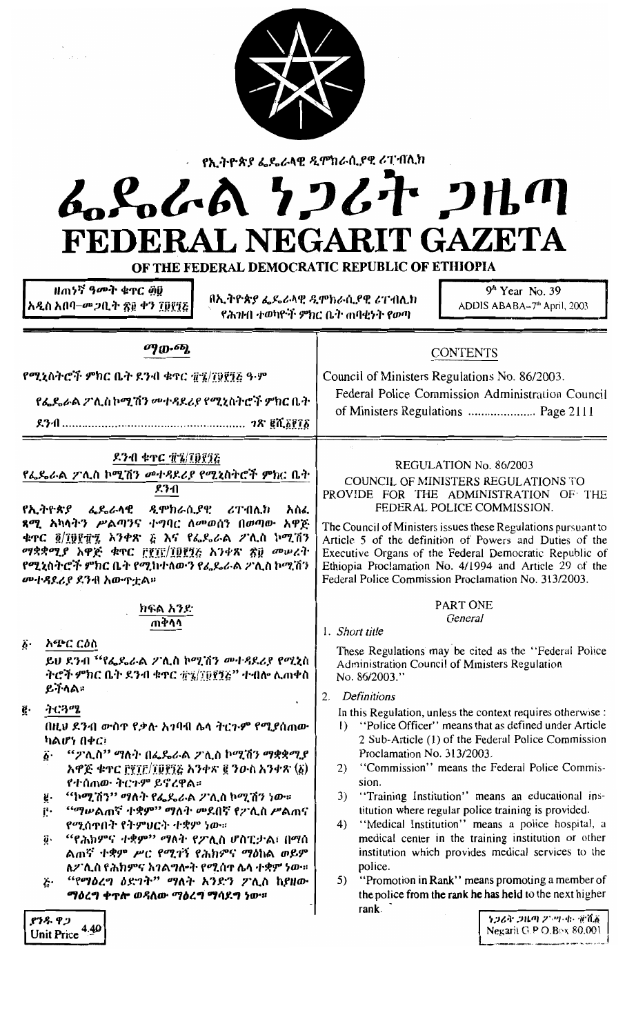| የኢትዮጵያ ፌዴራላዊ ዲሞክራሲያዊ ሪፐብሊክ<br>ふらんあ クンムヤ フルの<br>FEDERAL NEGARIT GAZETA<br>OF THE FEDERAL DEMOCRATIC REPUBLIC OF ETHIOPIA                                                                                                                                                                                                                                                                                                                                                                                                                                                                                                             |                                                                                                                                                                                                                                                                                                                                                                                                                                                                                                                                                                                                                                                                                                                                                                                                                                                                                             |  |  |
|-------------------------------------------------------------------------------------------------------------------------------------------------------------------------------------------------------------------------------------------------------------------------------------------------------------------------------------------------------------------------------------------------------------------------------------------------------------------------------------------------------------------------------------------------------------------------------------------------------------------------------------|---------------------------------------------------------------------------------------------------------------------------------------------------------------------------------------------------------------------------------------------------------------------------------------------------------------------------------------------------------------------------------------------------------------------------------------------------------------------------------------------------------------------------------------------------------------------------------------------------------------------------------------------------------------------------------------------------------------------------------------------------------------------------------------------------------------------------------------------------------------------------------------------|--|--|
| ዘጠነኛ ዓመት ቁጥር ፴፱<br>በኢትዮጵያ ፌዴራላዊ ዲሞክራሲያዊ ሪፐብሊክ<br>አዲስ አበባ–መጋቢት ፳፱ ቀን ፲፱፻፺፩<br>የሕንዞበ ተወካዮች ምክር ቤት ጠባቂነት የወጣ                                                                                                                                                                                                                                                                                                                                                                                                                                                                                                                           | $9th$ Year No. 39<br>ADDIS ABABA-7 <sup>th</sup> April, 2003                                                                                                                                                                                                                                                                                                                                                                                                                                                                                                                                                                                                                                                                                                                                                                                                                                |  |  |
| <i>o</i> qo.oq<br><b>CONTENTS</b><br>Council of Ministers Regulations No. 86/2003.<br>የሚኒስትሮች ምክር ቤት ደንብ ቁጥር ፹፯/፲፱፻፺ሬ ዓ·ም<br>Federal Police Commission Administration Council<br>የፌዴራል ፖሊስኮሚሽን መተጻደሪያ የሚኒስትሮች ምክር ቤት                                                                                                                                                                                                                                                                                                                                                                                                                |                                                                                                                                                                                                                                                                                                                                                                                                                                                                                                                                                                                                                                                                                                                                                                                                                                                                                             |  |  |
| <b>ደንብ ቁጥር ፹፯/፲፱፻፺</b> ሯ<br>የፌዴራል ፖሊስ ኮሚሽን መተጻደሪያ የሚኒስትሮች ምክር ቤት<br>ደንብ<br>ዲሞክራሲያዊ<br>አስፈ<br><u>የኢትዮጵያ ፌዴራላዊ</u><br>ሪፐብሊክ<br>ጻሚ አካላትን ሥልጣንና ተግባር ለመወሰን በወጣው አዋጅ<br>ቁጥር ፬/፲፱፻፹፯ አንቀጽ ፭ እና የፌዴራል ፖሊስ ኮሚሽን<br>ማቋቋሚያ አዋጅ ቁጥር ፫፻፲፫/፲፱፻፺፫ አንቀጽ ፳፱ መሠረት<br>የሚኒስትሮች ምክር ቤት የሚከተለውን የፌዴራል ፖሊስ ኮሚሽን<br>መተዳደሪያ ደንብ አውዋቷል።                                                                                                                                                                                                                                                                                                                      | REGULATION No. 86/2003<br>COUNCIL OF MINISTERS REGULATIONS TO<br>PROVIDE FOR THE ADMINISTRATION OF THE<br>FEDERAL POLICE COMMISSION.<br>The Council of Ministers issues these Regulations pursuant to<br>Article 5 of the definition of Powers and Duties of the<br>Executive Organs of the Federal Democratic Republic of<br>Ethiopia Proclamation No. 4/1994 and Article 29 of the<br>Federal Police Commission Proclamation No. 313/2003.                                                                                                                                                                                                                                                                                                                                                                                                                                                |  |  |
| ክፍል አንድ<br>ጠቅሳሳ<br>አጭር ርዕስ<br>$\ddot{\bm{b}}$ .<br>ይህ ደንብ "የፌዴራል ፖሊስ ኮሚሽን መተዳደሪያ የሚኒስ<br>ትሮች ምክር ቤት ደንብ ቁዋር ፹፯/፲፱፻፺፭'' ተብሎ ሊጠቀስ<br>ይችላል።<br>ትርጓሜ<br>ğ.<br>በዚህ ደንብ ውስጥ የቃሉ አገባብ ሌላ ትርጉም የሚያሰጠው<br>ካልሆነ በቀር፣<br>"ፖሊስ" ማለት በፌዴራል ፖሊስ ኮሚሽን ማቋቋሚያ<br>$\vec{b}$ .<br>አዋጅ ቁጥር ፫፻፲፫/፲፱፻፺፭ አንቀጽ ፪ ንውስ አንቀጽ (፩)<br>የተሰጠው ትርጉም ይኖረዋል።<br>''ኮሚሽን'' ማለት የፌዴራል ፖሊስ ኮሚሽን ነው።<br>ğ.<br><i>"ሚ</i> ሥልጠኛ ተቋም" ማለት መደበኛ የፖሊስ ሥልጠና<br>ſ٠<br>የሚሰጥበት የትምህርት ተቋም ነው።<br>"የሕክምና ተቋም" ማለት የፖሊስ ሆስፒታል፣ በማሰ<br>ö.<br>ልጠኛ ተቋም ሥር የሚገኝ የሕክምና ማዕከል ወይም<br>ለፖሊስ የሕክምና አገልግሎት የሚሰዋ ሌላ ተቋም ነው።<br>"የማዕረግ ዕድገት" ማለት አንድን ፖሊስ ከያዘው<br>ë٠<br>ማዕረግ ቀጥሎ ወዳለው ማዕረግ ማሳደግ ነው። | PART ONE<br>General<br>1. Short title<br>These Regulations may be cited as the "Federal Police<br>Administration Council of Ministers Regulation<br>No. 86/2003."<br>Definitions<br>2.<br>In this Regulation, unless the context requires otherwise :<br>1) "Police Officer" means that as defined under Article<br>2 Sub-Article (1) of the Federal Police Commission<br>Proclamation No. 313/2003.<br>"Commission" means the Federal Police Commis-<br>2)<br>sion.<br>"Training Institution" means an educational ins-<br>3)<br>titution where regular police training is provided.<br>"Medical Institution" means a police hospital, a<br>4)<br>medical center in the training institution or other<br>institution which provides medical services to the<br>police.<br>"Promotion in Rank" means promoting a member of<br>5)<br>the police from the rank he has held to the next higher |  |  |
| የንዱ ዋጋ<br>4.40<br><b>Unit Price</b>                                                                                                                                                                                                                                                                                                                                                                                                                                                                                                                                                                                                 | rank.<br>ነጋሪት ጋዜጣ ፖንሣሚ፣ ቋሺ፩<br>Negarit G.P O.Box 80,001                                                                                                                                                                                                                                                                                                                                                                                                                                                                                                                                                                                                                                                                                                                                                                                                                                     |  |  |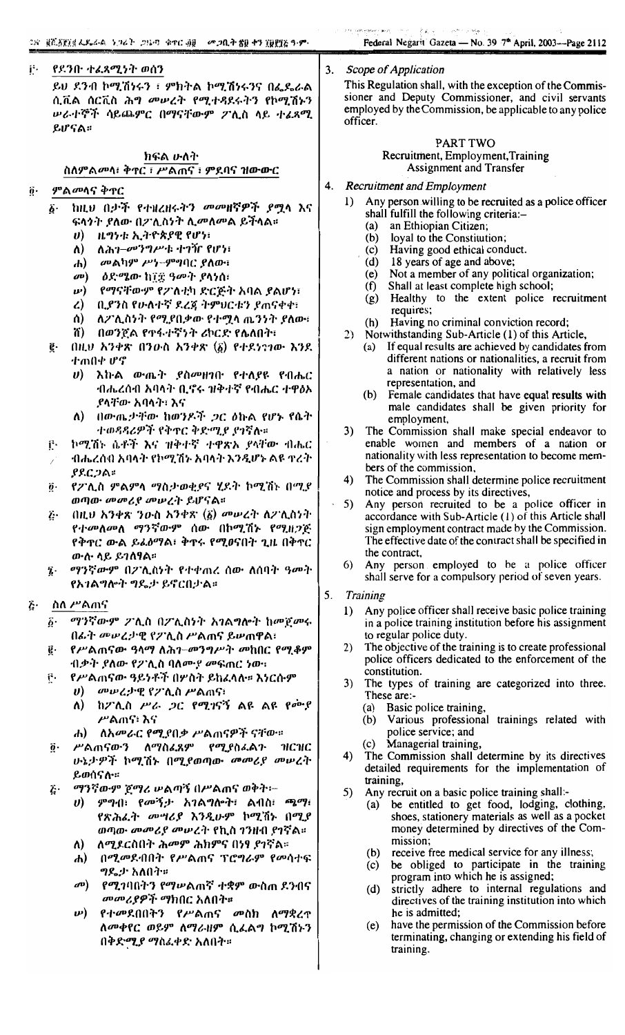| ij -   የደንቡ ተፈጻሚነት ወሰን             |
|------------------------------------|
| ይህ ደንብ ኮሚሽነሩን ፣ ምክትል ኮሚሽነሩንና በፌዴራል |
| ሲቪል ሰርቪስ ሕግ መሠረት የሚተዳደሩትን የኮሚሽኑን   |
| ሥራተኞች ሳይጨምር በማናቸውም ፖሊስ ላይ ተፈጸሚ     |
| ይሆናል።                              |

#### ክፍል ሁለት ስለምልመላ፣ ቅዋር ፣ ሥልጠና ፣ ምደባና ዝውውር

#### $\ddot{\boldsymbol{\theta}}$ ምል*መ*ሳና ቅተር

- ከዚህ በታች የተዘረዘሩትን መመዘኛዎች ያሟላ እና ۶۰ ፍላንት ያለው በፖሊስነት ሊመለመል ይችላል።
	- $\boldsymbol{v}$ ዜግነቱ ኢትዮጵያዊ የሆነ፡
	- ለ) ለሕገ $-\omega$ ንግሥቱ ተገኘՐ የሆነ፣
	- መልካም ሥነ-ምግባር ያለው፣  $\mathbf{d}$
	- $\mathbf{a}$ ዕድሜው ከ፲፰ ዓመት ያላነሰ፣
	- $\boldsymbol{\nu}$ ) የማናቸውም የፖለቲካ ድርጅት አባል ያልሆነ፣
	- ቢያንስ የሁለተኛ ደረጃ ትምህርቱን ያጠናቀቀ፣  $\mathbf{Z}$
	- ለፖሊስነት የሚያበቃው የተሟላ ጨንነት ያለው፣  $\Lambda$
	- n) በወንጀል የተፋተኛነት ሪኮርድ የሌለበት፣
- $(111.9)$  አንቀጽ በንውስ አንቀጽ  $(\vec{b})$  የተደነንገው እንደ ę. ተጠበቀ ሆኖ
	- $\boldsymbol{v}$ ) እኩል ውጤት ያስመዘገቡ የተለያዩ የብሔር ብሔረሰብ አባላት ቢኖሩ ዝቅተኛ የብሔር ተዋፅኦ ያላቸው አባላት፣ እና
	- በውጤታቸው ከወንዶች ጋር ዕኩል የሆኑ የሴት  $\Lambda$ ተወዳዳሪዎች የቅዋር ቅድሚያ ያገኛሉ።
- Ê. ኮሚሽኑ ሴቶች እና ዝቅተኛ ተዋጽኦ ያላቸው ብሔር
- ብሔረሰብ አባላት የኮሚሽኑ አባላት እንዲሆኑ ልዩ ተረት  $PPCDA$
- $\ddot{\boldsymbol{\theta}}$ የፖሊስ ምልምላ ማስታወቂያና ሂደት ኮሚሽኑ በሚያ ወጣው መመሪያ መሠረት ይሆናል።
- በዚህ አንቀጽ ንውስ አንቀጽ (፩) መሠረት ለፖሊስነት Ë٠ የተመለመለ ማንኛውም ሰው በኮሚሽኑ የሚዘጋጅ የቅጥር ውል ይፌፅማል፣ ቅጥሩ የሚፀናበት ጊዜ በቅጥር ውስ ላይ ይገለፃል።
- ማንኛውም በፖሊስነት የተቀጠረ ሰው ለሰባት ዓመት  $\mathbf{\hat{i}}$ . የአገልግሎት ግዴታ ይኖርበታል።
- ስለ ሥልጠና ŀغ
	- *ሚነ*ኛውም ፖሊስ በፖሊስነት አገልግሎት ከመጀመሩ ĥ٠ በፊት መሠረታዊ የፖሊስ ሥልጠና ይሠጠዋል፣
	- የሥልጠናው ዓላማ ለሕገ-መንግሥት መከበር የሚቆም ë٠ ብቃት ያለው የ2ንሊስ ባለሙያ መፍጠር ነው።
	- የሥልጠናው ዓይነቶች በሦስት ይከፈላሉ። እነርሱም f٠  $\boldsymbol{v}$ *መሠረታዊ የፖሊስ ሥ*ልጠና፣
		- ከፖሊስ ሥራ ጋር የሚገናኝ ልዩ ልዩ የሙያ ለ) ሥልሐና፥ እና
		- ለአ*መራር የሚያበቃ ሥ*ልጠናዎች ናቸው።  $\mathbf{d}$
	- ሥልጠናውን ለማስፈጸም የሚያስፈልጉ ዝርዝር ö. ሁኔታዎች ኮሚሽኑ በሚያወጣው መመሪያ መሠረት ይወሰናሉ።
	- ማንኛውም ጀማሪ ሠልጣኝ በሥልጠና ወቅት፦ Ŀ٠
		- $\bm{v}$ ) ምግብ፣ የመኝታ አገልግሎት፣ ልብስ፣ ጫማ፣ የጽሕፌት መሣሪያ እንዲሁም ኮሚሽኑ በሚያ ወጣው መመሪያ መሠረት የኪስ ገንዘብ ያገኛል።
		- ለ) ለሚደርስበት ሕመም ሕክምና በነፃ ያገኛል።
		- ሐ) በሚመደብበት የሥልጠና ፕሮግራም የመሳተፍ ግዴታ አለበት።
		- መ) የሚገባበትን የማሥልጠኛ ተቋም ውስጠ ደንብና *መመሪያዎች ማ*ክበር አለበት።
		- *ψ*) የተመደበበትን የሥልጠና መስክ ለማቋረጥ ለመቀየር ወይም ለማራዘም ሲፈልግ ኮሚሽኑን በቅድሚያ ማስፈቀድ አለበት።

#### 3. Scope of Application

This Regulation shall, with the exception of the Commissioner and Deputy Commissioner, and civil servants employed by the Commission, be applicable to any police officer.

#### PART TWO Recruitment, Employment, Training Assignment and Transfer

#### **Recruitment and Employment**  $\mathbf{4}$ .

- Any person willing to be recruited as a police officer  $1)$ shall fulfill the following criteria:-
	- $(a)$ an Ethiopian Citizen;
	- $(b)$ loyal to the Constitution;
	- (c) Having good ethical conduct.
	- $(d)$ 18 years of age and above;
	- (e) Not a member of any political organization;
	- $(f)$ Shall at least complete high school;
	- (g) Healthy to the extent police recruitment requires;
	- (h) Having no criminal conviction record;
- 2) Notwithstanding Sub-Article (1) of this Article, (a) If equal results are achieved by candidates from different nations or nationalities, a recruit from a nation or nationality with relatively less representation, and
	- (b) Female candidates that have equal results with male candidates shall be given priority for employment,
- 3) The Commission shall make special endeavor to enable women and members of a nation or nationality with less representation to become members of the commission,
- The Commission shall determine police recruitment  $4)$ notice and process by its directives,
- 5) Any person recruited to be a police officer in accordance with Sub-Article (1) of this Article shall sign employment contract made by the Commission. The effective date of the contract shall be specified in the contract.
- Any person employed to be a police officer 6) shall serve for a compulsory period of seven years.
- 5. **Training** 
	- Any police officer shall receive basic police training  $1)$ in a police training institution before his assignment to regular police duty.
	- 2) The objective of the training is to create professional police officers dedicated to the enforcement of the constitution.
	- $3)$ The types of training are categorized into three. These are:-
		- Basic police training,  $(a)$
		- Various professional trainings related with  $(b)$ police service; and
		- Managerial training,  $(c)$
	- The Commission shall determine by its directives  $4)$ detailed requirements for the implementation of training,
	- 5) Any recruit on a basic police training shall:
		- be entitled to get food, lodging, clothing,  $(a)$ shoes, stationery materials as well as a pocket money determined by directives of the Commission;
		- $(h)$ receive free medical service for any illness;
		- (c) be obliged to participate in the training program into which he is assigned;
		- $(d)$ strictly adhere to internal regulations and directives of the training institution into which he is admitted;
		- have the permission of the Commission before  $(e)$ terminating, changing or extending his field of training.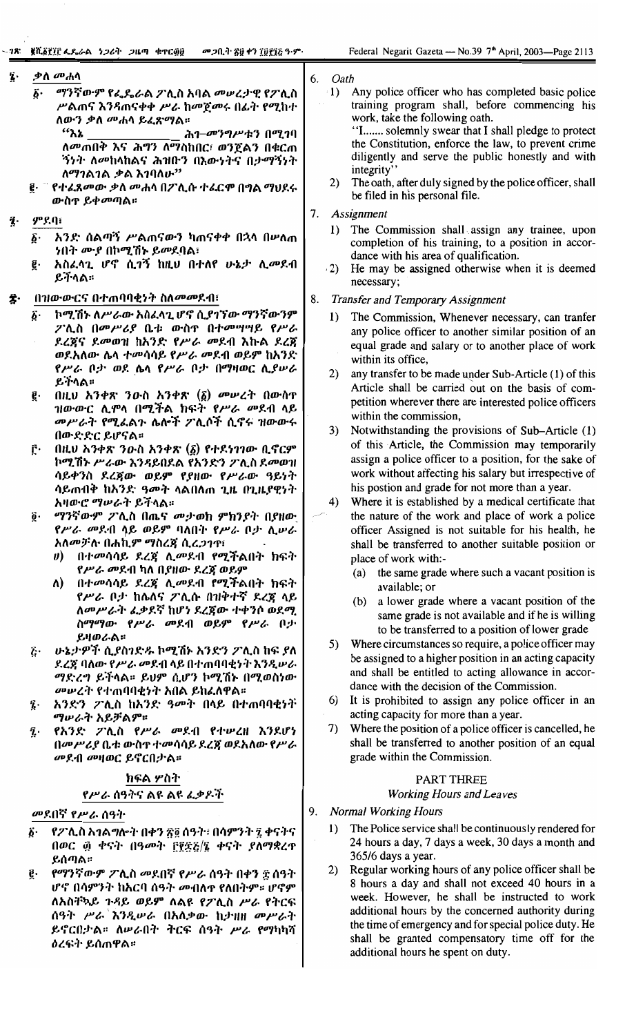| <i>ማንኛውም የፌጼራል ፖ</i> ሊስ አባል <i>መሠረታዊ የፖ</i> ሊስ<br>6٠                                                                                                                                                                                                                                             | Any police officer who has completed basic police<br>$\cdot 1$                                                                                                                                                                                                                                                                                                                                                                                                                                                    |
|--------------------------------------------------------------------------------------------------------------------------------------------------------------------------------------------------------------------------------------------------------------------------------------------------|-------------------------------------------------------------------------------------------------------------------------------------------------------------------------------------------------------------------------------------------------------------------------------------------------------------------------------------------------------------------------------------------------------------------------------------------------------------------------------------------------------------------|
| ሥልጠና እንዳጠናቀቀ ሥራ ከመጀመሩ በፊት የሚከተ<br>ለውን ቃለ <i>መ</i> ሐሳ ይፈጽማል፡፡<br>"እኔ<br>ሕገ-መንግሥቱን በሚገባ<br>ለመጠበቅ እና ሕግን ለማስከበር፣ ወንጀልን በቁርጠ<br><i>ኝነት ለመ</i> ከላከልና ሕዝቡን በእውነትና በታማኝነት<br>ለማገልገል ቃል እገባለሁ"<br>ውስዋ ይቀ <i>መ</i> ጣል።                                                                                    | training program shall, before commencing his<br>work, take the following oath.<br>"I solemnly swear that I shall pledge to protect<br>the Constitution, enforce the law, to prevent crime<br>diligently and serve the public honestly and with<br>integrity'<br>The oath, after duly signed by the police officer, shall<br>2)<br>be filed in his personal file.                                                                                                                                                 |
|                                                                                                                                                                                                                                                                                                  | 7.<br>Assignment                                                                                                                                                                                                                                                                                                                                                                                                                                                                                                  |
| ንበት ሙያ በኮሚሽኑ ይመደባል፣<br>አስፈሳጊ ሆኖ ሲገኝ ከዚህ በተለየ ሁኔታ ሲመደብ<br>ይችላል።                                                                                                                                                                                                                                   | 1) The Commission shall assign any trainee, upon<br>completion of his training, to a position in accor-<br>dance with his area of qualification.<br>He may be assigned otherwise when it is deemed<br>(2)<br>necessary;                                                                                                                                                                                                                                                                                           |
| በዝውውርና በተጠባባቂነት ስለመመደብ፣                                                                                                                                                                                                                                                                          | 8.<br><b>Transfer and Temporary Assignment</b>                                                                                                                                                                                                                                                                                                                                                                                                                                                                    |
| ኮሚሽኑ ለሥራው አስፈላጊ ሆኖ ሲያገኘው ማንኛውንም<br>ፖሊስ በመሥሪያ ቤቱ ውስዋ በተመሣሣይ የሥራ<br>ደረጀና ደመወዝ ከአንድ የሥራ መደብ እኩል ደረጀ<br>ወደአለው ሴላ ተመሳሳይ የሥራ መደብ ወይም ከአንድ<br>የሥራ ቦታ ወደ ሴላ የሥራ ቦታ በማዛወር ሲያሥራ                                                                                                                            | The Commission, Whenever necessary, can tranfer<br>1)<br>any police officer to another similar position of an<br>equal grade and salary or to another place of work<br>within its office,<br>any transfer to be made under Sub-Article (1) of this<br>2)                                                                                                                                                                                                                                                          |
| በዚህ አንቀጽ ንውስ አንቀጽ $(\vec{\delta})$ መሥረት በውስዋ<br>ዝውውር ሲሞላ በሚችል ክፍት የሥራ <i>መ</i> ደብ ላይ<br><i>መሥራት የሚል</i> ልጉ ሌሎች ፖሊሶች ሲኖሩ ዝውውሩ<br>በውድድር ይሆናል።                                                                                                                                                      | Article shall be carried out on the basis of com-<br>petition wherever there are interested police officers<br>within the commission,<br>Notwithstanding the provisions of Sub-Article (1)<br>3)<br>of this Article, the Commission may temporarily                                                                                                                                                                                                                                                               |
| ኮሚሽኑ ሥራው እንዳይበደል የአንድን ፖሊስ ደመወዝ<br>ሳይቀንስ ደረጀው ወይም የያዘው የሥራው ዓይነት<br>ሳይጠብቅ ከአንድ ዓመት ላልበለጠ ጊዜ በጊዜያዊነት<br>አዛውሮ <i>ማሠራት ይች</i> ላል፡፡                                                                                                                                                                  | assign a police officer to a position, for the sake of<br>work without affecting his salary but irrespective of<br>his postion and grade for not more than a year.<br>Where it is established by a medical certificate that<br>4)                                                                                                                                                                                                                                                                                 |
| የሥራ መደብ ሳይ ወይም ባለበት የሥራ ቦታ ሲሥራ<br>አለመቻሉ በሐኪም ማስረጃ ሲረ <i>ጋገ</i> ጥ፣<br><i>ሀ</i> ) በተመሳሳይ ደረጃ ሊመደብ የሚችልበት ክፍት<br>የሥራ መደብ ካለ በያዘው ደረጃ ወይም<br>በተመሳሳይ ደረጀ ሊመደብ የሚችልበት ክፍት<br>ለ)<br>የሥራ ቦታ ከሌለና ፖሊሱ በዝቅተኛ ደረጀ ላይ<br>ለመሥራት ፌቃደኛ ከሆነ ደረጀው ተቀንሶ ወደሚ<br>ስማማው የሥራ መደብ ወይም የሥራ ቦታ                             | the nature of the work and place of work a police<br>officer Assigned is not suitable for his health, he<br>shall be transferred to another suitable position or<br>place of work with:-<br>the same grade where such a vacant position is<br>(a)<br>available; or<br>a lower grade where a vacant position of the<br>(b)<br>same grade is not available and if he is willing<br>to be transferred to a position of lower grade                                                                                   |
| ሁኔታዎች ሲያስገድዱ ኮሚሽኑ አንድን ፖሊስ ከፍ ያለ<br>ደረጃ ባለው የሥራ መደብ ላይ በተጠባባቂነት እንዲሠራ<br><i>ማድረግ ይች</i> ላል። ይህም ሲሆን ኮሚሽኑ በሚወስነው<br><i>መ</i> ሥረት የተጠባባቂነት አበል ይከፈለዋል፡፡<br>አንድን ፖሊስ ከአንድ ዓመት በላይ በተጠባባቂነት                                                                                                          | 5) Where circumstances so require, a police officer may<br>be assigned to a higher position in an acting capacity<br>and shall be entitled to acting allowance in accor-<br>dance with the decision of the Commission.<br>It is prohibited to assign any police officer in an<br>6)                                                                                                                                                                                                                               |
| ማሥራት አይቻልም።<br>የአንድ ፖሊስ የሥራ መደብ የተሠረዘ እንደሆነ<br>በመሥሪያ ቤቱ ውስዋ ተመሳሳይ ደረጃ ወደአለው የሥራ<br><i>መ</i> ደብ መዛወር ይኖርበታል።                                                                                                                                                                                      | acting capacity for more than a year.<br>Where the position of a police officer is cancelled, he<br>7)<br>shall be transferred to another position of an equal<br>grade within the Commission.                                                                                                                                                                                                                                                                                                                    |
| ክፍል ሦስት                                                                                                                                                                                                                                                                                          | PART THREE                                                                                                                                                                                                                                                                                                                                                                                                                                                                                                        |
| የሥራ ሰዓትና ልዩ ልዩ ፈቃዶች                                                                                                                                                                                                                                                                              | <b>Working Hours and Leaves</b>                                                                                                                                                                                                                                                                                                                                                                                                                                                                                   |
|                                                                                                                                                                                                                                                                                                  | 9.<br><b>Normal Working Hours</b>                                                                                                                                                                                                                                                                                                                                                                                                                                                                                 |
| የፖሊስ አገልግሎት በቀን ፳፬ ሰዓት፣ በሳምንት ፯ ቀናትና<br>በወር ፴ ቀናት በዓመት ፫፻፳፩/፯ ቀናት ያለማቋረዋ<br>ይሰጣል።<br>የማንኛውም ፖሊስ መደበኛ የሥራ ሰዓት በቀን ፰ ሰዓት<br>ሆኖ በሳምንት ከአርባ ሰዓት <i>መ</i> ብለዋ የለበትም። ሆኖም<br>ለአስቸኳይ ጉዳይ ወይም ለልዩ የፖሊስ ሥራ የትርፍ<br>ሰዓት ሥራ እንዲሠራ በአለቃው ከታዝዘ መሥራት<br>ይኖርበታል። ለሥራበት ትርፍ ሰዓት ሥራ የማካካሻ<br><i>ዕረፍት ይሰጠዋል፡</i> ፡ | The Police service shall be continuously rendered for<br>1)<br>24 hours a day, 7 days a week, 30 days a month and<br>365/6 days a year.<br>Regular working hours of any police officer shall be<br>2)<br>8 hours a day and shall not exceed 40 hours in a<br>week. However, he shall be instructed to work<br>additional hours by the concerned authority during<br>the time of emergency and for special police duty. He<br>shall be granted compensatory time off for the<br>additional hours he spent on duty. |
|                                                                                                                                                                                                                                                                                                  | ፪· ¯ የተ <i>ሬጸመው ቃለ መሐ</i> ላ በፖሊሱ ተሬርም በግል ማህደሩ<br><b>ምደባ፣</b><br>፩·   እንድ ሰልጣኝ ሥልጠናውን ካጠናቀቀ በኋላ በሥለጠ<br>Ē٠<br>Ë٠<br>ይትላል።<br>ĝ.<br>በዚህ አንቀጽ ንውስ አንቀጽ $(\underline{\delta})$ የተደነገገው ቢኖርም<br>ŗ٠<br><i>ማን</i> ኛውም ፖሊስ በጤና መታወክ ምክንያት በያዘው<br>$\ddot{\mathbf{0}}$ .<br>ይዛወራል።<br>ï٠<br>ï.<br>ĩ.<br>መደበኛ የሥራ ሰዓት<br>ö.<br>ğ.                                                                                                                                                                                          |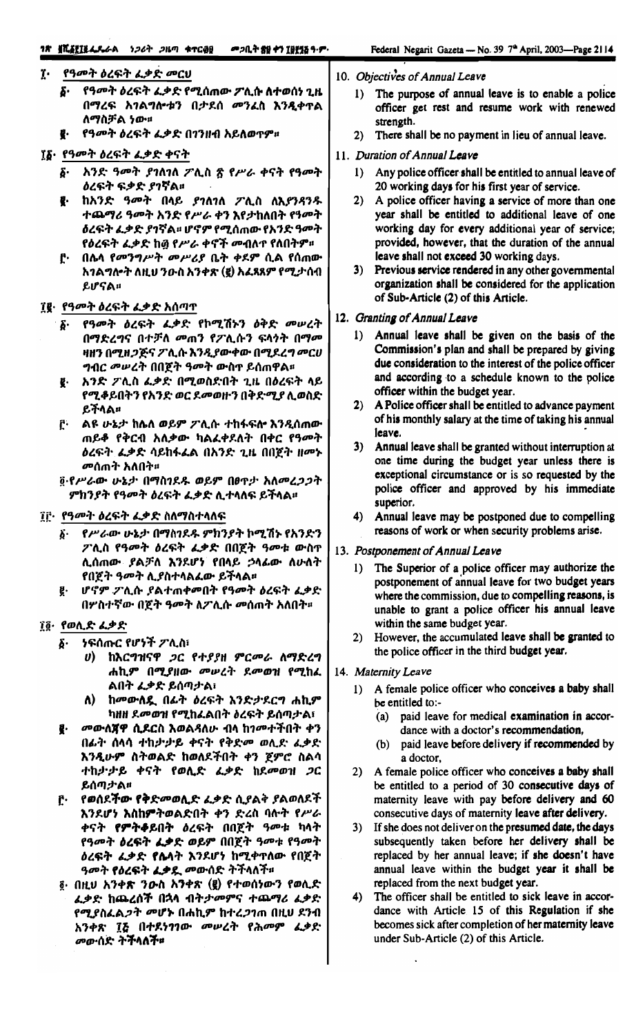#### ፲· የዓመት ዕረፍት ፌቃድ መርሀ

- የዓመት ዕረፍት ፌቃድ የሚሰጠው ፖሊሱ ለተወሰነ ጊዜ б. በማረፍ አገልግሎቱን በታደሰ መንፈስ እንዲቀጥል ለማስቻል ነው።
- የዓመት ዕረፍት ፌቃድ በ1ንዘብ አይለወጥም።

#### ፲፩· የዓመት ዕረፍት ፌቃድ ቀናት

- ፩· አንድ ዓመት ያገለገለ ፖሊስ ፳ የሥራ ቀናት የዓመት ዕረፍት ፍቃድ ያገኛል።
- ፪· ከአንድ ዓመት በላይ ያገለገለ ፖሊስ ለእያንዳንዱ ተጨማሪ ዓመት አንድ የሥራ ቀን እየታከለበት የዓመት *ዕ*ረፍት ፌቃድ ያገኛል፡፡ ሆኖም የሚሰጠው የአንድ ዓመት የዕረፍት ፈቃድ ከ፴ የሥራ ቀኖች መብለተ የለበትም።
- ሮ· በሌላ የመንግሥት መሥሪያ ቤት ቀደም ሲል የሰጠው አገልግሎት ለዚህ ንውስ አንቀጽ (፪) አፈጻጸም የሚታሰብ ይሆናል።

#### ፲፪· የዓመት ዕረፍት ፌቃድ አሰጣጥ

- የዓመት ዕረፍት ፌቃድ የኮሚሽኑን ዕቅድ መሠረት δ. በማድረግና በተቻለ መጠን የፖሊሱን ፍላጎት በማመ ዛዘን በሚዘ*ጋጅና ፖ* ሊሱ እንዲያውቀው በሚደረግ መርሀ *ግብር መሠረት በበጀት ዓመት ውስ*ተ ይሰጠዋል፡፡
- ፪· አንድ ፖሊስ ፌቃድ በሚወስድበት ጊዜ በዕረፍት ላይ የሚቆይበትን የአንድ ወር ደመወዙን በቅድሚያ ሊወስድ ይችላል።
- ፫· Aዩ ሁኔታ ከሌለ ወይም ፖሊሱ ተከፋፍሎ እንዲሰጠው ጠይቆ የቅርብ አለቃው ካልፈቀደለት በቀር የዓመት ዕረፍት ፌቃድ ሳይከፋፌል በአንድ ጊዜ በበጀት ዘመኑ *መ*ሰጠት አለበት።
- <u>፩</u>·የሥራው ሁኔታ በማስገደዱ ወይም በፀጥታ አለመረ*ጋጋ*ት ምክንያት የዓመት ዕረፍት ፌቃድ ሊተላለፍ ይችላል፡፡

#### ፲፫· የዓመት ዕረፍት ፌቃድ ስለማስተላለፍ

- ፩· የሥራው ሁኔታ በማስገደዱ ምክንያት ኮሚሽኑ የአንድን ፖሊስ የዓመት ዕረፍት ፌቃድ በበጀት ዓመቱ ውስ**ተ** ሊሰጠው ያልቻለ እንደሆነ የበላይ ኃላፊው ለሁለት የበጀት ዓመት ሊያስተላልፈው ይችላል።
- ፪· ሆኖም ፖሊሱ ያልተጠቀመበት የዓመት ዕረፍት ፈቃድ በሦስተኛው በጀት ዓመት ለፖሊሱ መሰጠት አለበት።

## ፲፬· የወሊድ ፌቃድ

- $\delta$ . *ነ*ፍሰጡር የሆነች ፖሊስ፣
	- υ) ከእርግዝናዋ *ጋ*ር የተ*ያያ*ዘ ምርመራ ለማድረግ ሐኪም በሚያዘው መሠረት ደመወዝ የሚከፌ ልበት ፌቃድ ይሰጣታል፣
	- ለ) ከመውለዷ በፊት ዕረፍት እንድታደርግ ሐኪም ካዘዘ ደመወዝ የሚከፌልበት ዕረፍት ይሰጣታል፣
- *መ*ውለ**ጀዋ ሲደር**ስ እወልዳለሁ ብላ ከነመተችበት ቀን  $\mathbf{r}$ በፊት ሰላሳ ተከታታይ ቀናት የቅድመ ወሊድ ፈቃድ እንዲሁም ስትወልድ ከወለደችበት ቀን ጀምሮ ስልሳ ተከታታይ ቀናት የወሊድ ፈቃድ ከደመወዝ ጋር ይሰጣታል።
- ը<sub>•</sub> የወሰደ**ችው የቅ**ድመወሊድ ፈቃድ ሲያልቅ ያልወለደች እንደሆነ እስከምትወልድበት ቀን ድረስ ባሉት የሥራ ቀናት **የምትቆይበት** ዕረፍት በበጀት ዓመቱ ካላት የዓመት ዕረፍት ፌቃድ ወይም በበጀት ዓመቱ የዓመት ዕረፍት ፌቃድ የሴላት እንደሆነ ከሚቀጥለው የበጀት *ዓመት የዕረፍት ፌቃዷ መ*ውሰድ ትችላለች፡፡
- ፬· በዚሀ አንቀጽ ንውስ አንቀጽ (፪) የተወሰነውን የወሊድ ፌቃድ ከጨረሰች በኋላ ብትታመምና ተጨማሪ ፌቃድ የሚያስፈል*ጋት መ*ሆኑ በሐኪም ከተረ*ጋገ*ጠ በዚህ ደንብ አንቀጽ ፲፭ በተደነገገው መሠረት የሕመም ፌቃድ *መ*ውሰድ ትችላለች።

#### 10. Objectives of Annual Leave

- 1) The purpose of annual leave is to enable a police officer get rest and resume work with renewed strength.
- 2) There shall be no payment in lieu of annual leave.
- 11. Duration of Annual Leave
	- 1) Any police officer shall be entitled to annual leave of 20 working days for his first year of service.
	- 2) A police officer having a service of more than one year shall be entitled to additional leave of one working day for every additional year of service; provided, however, that the duration of the annual leave shall not exceed 30 working days.
	- 3) Previous service rendered in any other governmental organization shall be considered for the application of Sub-Article (2) of this Article.
- 12. Granting of Annual Leave
	- 1) Annual leave shall be given on the basis of the Commission's plan and shall be prepared by giving due consideration to the interest of the police officer and according to a schedule known to the police officer within the budget year.
	- 2) A Police officer shall be entitled to advance payment of his monthly salary at the time of taking his annual leave.
	- 3) Annual leave shall be granted without interruption at one time during the budget year unless there is exceptional circumstance or is so requested by the police officer and approved by his immediate superior.
	- 4) Annual leave may be postponed due to compelling reasons of work or when security problems arise.
- 13. Postponement of Annual Leave
	- 1) The Superior of a police officer may authorize the postponement of annual leave for two budget years where the commission, due to compelling reasons, is unable to grant a police officer his annual leave within the same budget year.
	- 2) However, the accumulated leave shall be granted to the police officer in the third budget year.
- 14. Maternity Leave
	- 1) A female police officer who conceives a baby shall be entitled to:-
		- (a) paid leave for medical examination in accordance with a doctor's recommendation,
		- paid leave before delivery if recommended by  $(b)$ a doctor,
	- 2) A female police officer who conceives a baby shall be entitled to a period of 30 consecutive days of maternity leave with pay before delivery and 60 consecutive days of maternity leave after delivery.
	- 3) If she does not deliver on the presumed date, the days subsequently taken before her delivery shall be replaced by her annual leave; if she doesn't have annual leave within the budget year it shall be replaced from the next budget year.
	- $4)$ The officer shall be entitled to sick leave in accordance with Article 15 of this Regulation if she becomes sick after completion of her maternity leave under Sub-Article (2) of this Article.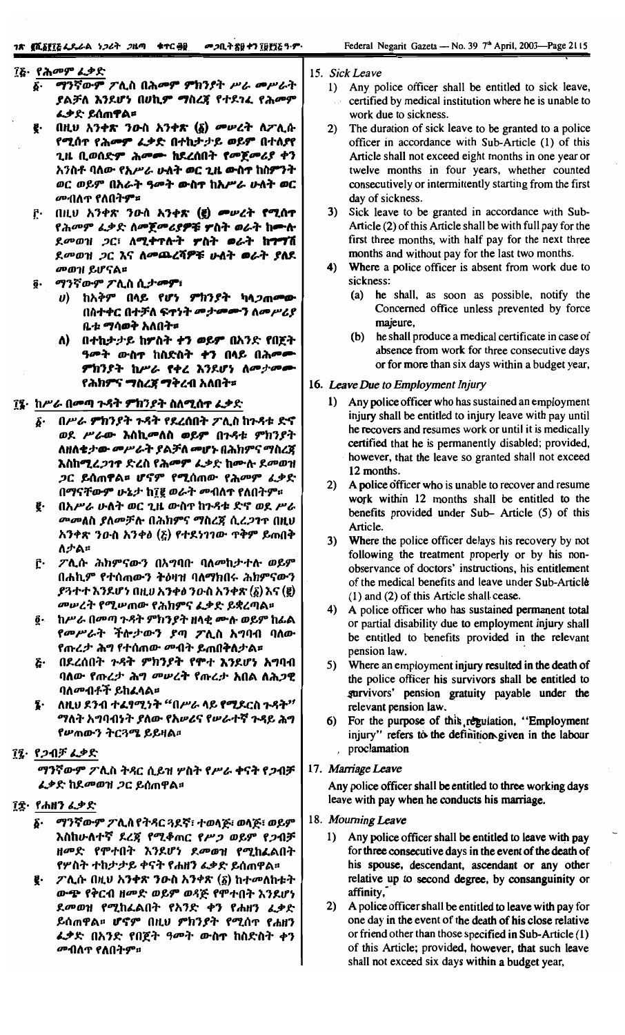## ፲፩· የሕመም ፌቃድ

- ማንኛውም ፖሊስ በሕመም ምክንያት ሥራ መሥራት б. ያልቻለ እንደሆነ በሀኪም ማስረጃ የተደገሬ የሕመም ፌቃድ ይሰጠ**ዋል**።
- Į. በዚህ አንቀጽ ንውስ አንቀጽ (፩) መሥረት ሲፖሊሱ የሚሰጥ የሕመም ፌቃድ በተከታታይ ወይም በተለያየ ጊዜ ቢወሰድም ሕመሙ ከደረሰበት የመጀመሪያ ቀን አንስቶ ባለው የአሥራ ሁለት ወር ጊዜ ውስተ ከስምንት ወር ወይም በአራት ዓመት ውስተ ከአሥራ ሁለት ወር <sup>መ</sup>·በለጥ የለበት**ም**።
- ŗ. በዚህ አንቀጽ ንውስ አንቀጽ (፪) መሠረት የሚሰተ የሕመም ፌቃድ ለመጀመሪያዎቹ ዎስት ወራት ከሙሉ ደመወዝ ጋር፣ ለሚቀጥሎት ምስት ወራት ከግግሽ ደመወዝ ጋር እና ለመጨረሻዎቹ ሁለት ወራት ያለደ መወገ! ይሆናል።
- ô· ማንኛውም ፖሊስ ሲታ**መም**፣
	- υ) ከአቅም በላይ የሆነ ምክንያት ካላ*ጋ*ጠመው በስተቀር በተቻለ ፍ**ተነት መታመ**ሙን ለመሥሪያ ቤቱ ማሳወቅ አለበት።
	- ለ) በተከታታይ ከፖስት ተን ወይም በአንድ የበጀት ዓመት ውስተ ከስድስት ቀን በላይ በሕመሙ ምክንያት ከሥራ የቀረ እንደሆነ ለመታመሙ የሕክ**ምና ማስረጀ ማቅረ**ብ አለበት¤
- ፲፯· ከሥራ በመጣ ጉዳት ምክንያት ስለሚሰተ ፌቃድ
	- б. በሥራ ምክንያት ጉዳት የደረሰበት ፖሊስ ከጉዳቱ ድኖ ወደ ሥራው እስኪመለስ ወይም በጉዳቱ ምክንያት ለዘለቄታው መሥራት ያልቻለ መሆኑ በሕክምና ማስረጀ እስከሚረ*ጋገ*ኖ ድረስ የሕመም ፌቃድ ከሙሉ ደመወዝ *ጋ*ር ይሰጠዋል¤ ሆኖም የሚሰጠው የሕመም ፈቃድ በማናቸውም ሁኔታ ከ፲፪ ወራት መብለተ የለበትም።
	- g. በአሥራ ሁለት ወር ጊዜ ውስጥ ከጉዳቱ ድኖ ወደ ሥራ መመለስ ያለመቻሉ በሕክምና ማስረጃ ሲረ*ጋግ*ዮ በዚህ አንቀጽ ንውስ አንቀፅ (፩) የተደነገገው ጥቅም ይጠበቅ ለታል።
	- ፖሊሱ ሕክምናውን በአግባቡ ባለመከታተሉ ወይም ŕ٠ በሐኪም የተሰጠውን ትዕዛዝ ባለማክበሩ ሕክምናውን ያጓተተ እንደሆነ በዚህ አንቀፅ ንዑስ አንቀጽ (፩) እና (፪) መሠረት የሚሠጠው የሕክምና ፌቃድ ይቋረጣል።
	- ከሥራ በመጣ ጉዳት ምክንያት ዘላቂ ሙሉ ወይም ከፊል õ. የመሥራት ችሎታውን ያጣ ፖሊስ አግባብ ባለው የጡረታ ሕግ የተሰጠው መብት ይጠበቅለታል፡፡
	- በደረሰበት ጉዳት ምክንያት የሞተ እንደሆነ አግባብ Ŀ٠ ባለው የጡረታ ሕግ መሠረት የጡረታ አበል ለሕጋዊ ባለመብቶች ይከፈላል።
	- ለዚህ ደንብ ተፈፃሚነት "በሥራ ላይ የሚደርስ ጉዳት" ī. ማለት አግባብነት ያለው የአሥሪና የሥራተኛ ጉዳይ ሕግ የሥጠውን ትርጓሜ ይይዛል።
- ፲፯· የጋብቻ ፌቃድ

ማንኛውም ፖሊስ ትጻር ሲይዝ ሦስት የሥራ ቀናት የጋብቻ ፌቃድ ከደመወዝ ጋር ይሰጠዋል፡፡

- ፲፰· የሐዘን ፌቃድ
	- **፩· ማንኛውም ፖሊስ የትጻር ጓደኛ፣ ተወላጅ፣ ወላጅ፣ ወይም** እስከሁለተኛ ደረጃ የሚቆጠር የሥጋ ወይም የጋብቻ ዘመድ የሞተበት እንደሆነ ደመወዝ የሚከፈልበት የሦስት ተከታታይ ቀናት የሐዘን ፌቃድ ይሰጠዋል፡፡
	- $\mathcal{F}$ ሊሱ በዚህ አንቀጽ ንውስ አንቀጽ (፩) ከተመለከቱት ውጭ የቅርብ ዘመድ ወይም ወዳጅ የሞተበት እንደሆነ ደመወዝ የሚከፈልበት የአንድ ቀን የሐዘን ፈቃድ ይሰጠዋል። ሆኖም በዚህ ምክንያት የሚሰጥ የሐዘን ፌቃድ በአንድ የበጀት ዓመት ውስጥ ከስድስት ቀን *መብ*ስጥ የ**ስበት**ም።

15. Sick Leave

- 1) Any police officer shall be entitled to sick leave, certified by medical institution where he is unable to work due to sickness.
- The duration of sick leave to be granted to a police  $2)$ officer in accordance with Sub-Article (1) of this Article shall not exceed eight months in one year or twelve months in four years, whether counted consecutively or intermittently starting from the first day of sickness.
- 3) Sick leave to be granted in accordance with Sub-Article (2) of this Article shall be with full pay for the first three months, with half pay for the next three months and without pay for the last two months.
- $4)$ Where a police officer is absent from work due to sickness:
	- (a) he shall, as soon as possible, notify the Concerned office unless prevented by force majeure,
	- (b) he shall produce a medical certificate in case of absence from work for three consecutive days or for more than six days within a budget year,

#### 16. Leave Due to Employment Injury

- 1) Any police officer who has sustained an employment injury shall be entitled to injury leave with pay until he recovers and resumes work or until it is medically certified that he is permanently disabled; provided, however, that the leave so granted shall not exceed 12 months.
- 2) A police officer who is unable to recover and resume work within 12 months shall be entitled to the benefits provided under Sub- Article (5) of this Article.
- Where the police officer delays his recovery by not  $3)$ following the treatment properly or by his nonobservance of doctors' instructions, his entitlement of the medical benefits and leave under Sub-Article (1) and (2) of this Article shall cease.
- 4) A police officer who has sustained permanent total or partial disability due to employment injury shall be entitled to benefits provided in the relevant pension law.
- 5) Where an employment injury resulted in the death of the police officer his survivors shall be entitled to gurvivors' pension gratuity payable under the relevant pension law.
- For the purpose of this regulation, "Employment injury" refers to the definition given in the labour proclamation

#### 17. Marriage Leave

Any police officer shall be entitled to three working days leave with pay when he conducts his marriage.

- 18. Mourning Leave
	- 1) Any police officer shall be entitled to leave with pay for three consecutive days in the event of the death of his spouse, descendant, ascendant or any other relative up to second degree, by consanguinity or affinity,
	- $2)$ A police officer shall be entitled to leave with pay for one day in the event of the death of his close relative or friend other than those specified in Sub-Article (1) of this Article; provided, however, that such leave shall not exceed six days within a budget year,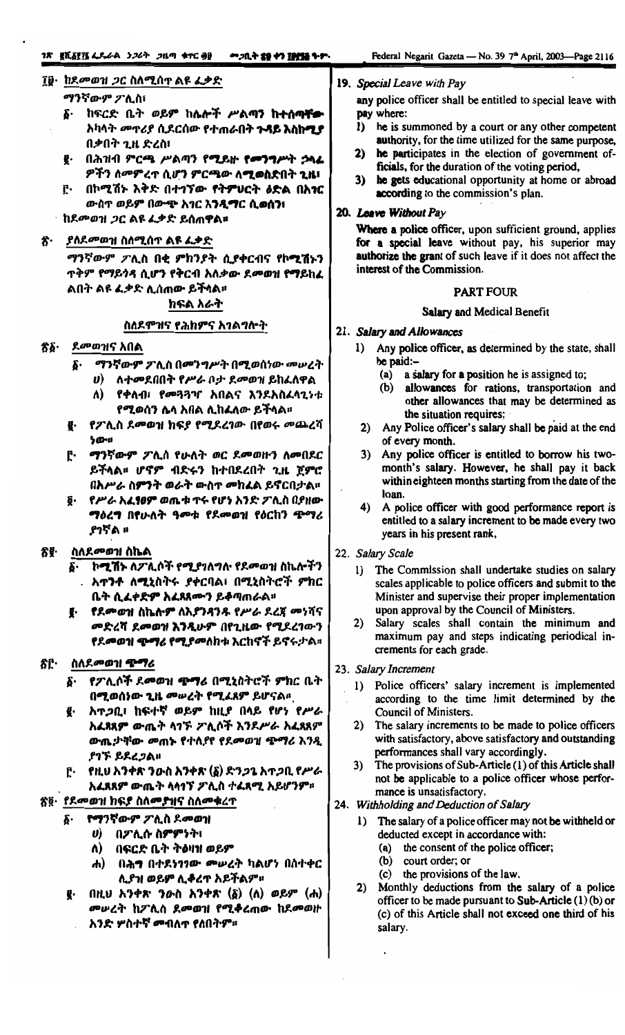#### ፲፱・ከደመወዝ ጋር ስለሚሰጥ ልዩ ፌቃድ

#### ማንኛውም ፖሊስ፣

- ፩· ከፍርድ ቤት ወይም ከሌሎች ሥልጣን ከተሰ**ጣቸ<del>ው</del>** አካላት *መ*ጥሪያ ሲደርሰው የተጠራበት ጉ**ዳይ እስከሚያ** በቃበት ጊዜ ድረስ፣
- ፪· በሕዝብ ምርጫ ሥልጣን የሚይዙ የመንግሥት ኃላፊ ዎችን ለመምረጥ ሲሆን ምርጫው ለ**ሚወስድ**በት **ጊዜ**፣
- ፫· በኮሚሽኑ እቅድ በተገኘው የትምሀርት ዕድል በአንር ውስጥ ወይም በውጭ አገር እንዲማር ሲወስን፣
- ↑ ከደ*መወዝ ጋ*ር ልዩ ፌቃድ ይሰጠዋል¤

#### ያለደመወዝ ስለሚሰጥ ልዩ ፌቃድ ጽ·

ማንኛውም ፖሊስ በቂ ምክንያት ሲያቀርብና የኮሚሽኑን **ጥቅም የማይጎዳ ሲሆን የቅርብ አለቃው ደመወዝ የማይከፈ** ልበት ልዩ ፈቃድ ሊሰጠው ይችላል። ክፍል አራት

## ስለደምዝና የሕክምና አገልግሎት

- *ደመወዝና አበ*ል ፳፩∙
	- δ· ማንኛውም ፖሊስ በመንግሥት በሚወሰነው መሠረት
		- ለተመደበበት የሥራ ቦታ ደመወዝ ይከፈለዋል  $\boldsymbol{\theta}$ 
			- Λ) የቀለብ፣ የመጓጓዣ አበልና እንደአስፈላጊነቱ የሚወሰን ሴሳ አበል ሊከፈለው ይችላል፡፡
	- የፖሊስ ደመወዝ ክፍያ የሚደረገው በየወሩ መጨረሻ æ.  $50 - u$
	- [· ማንኛውም ፖሊስ የሁለት ወር ደመወዙን ለመበደር ይችላል። ሆኖም ብድሩን ከተበደረበት ጊዜ ጀምሮ በአሥራ ስምንት ወራት ውስጥ መከፈል ይኖርበታል።
	- የሥራ አፈፃፀም ወጤቱ ጥሩ የሆነ አንድ ፖሊስ በያዘው ማዕረግ በየሁለት ዓመቱ የደመወዝ የዕርከን ጭማሪ ያገኛል ።

#### ስለደ*መወገ*! ስኬል 犬ぞ・

- ፩· ኮሚሽኑ ለፖሊሶች የሚያገለግሉ የደመወዝ ስኬሎችን . አ**ተንቶ ለሚ**ኒስትሩ ያቀርባል፣ በሚኒስትሮች ምክር ቤት ሲፈቀድም አፈጸጸሙን ይቆጣጠራል።
- ፪· የደመወዝ ስኬሎም ለኢያንዳንዱ የሥራ ደረጃ መነሻና መድረሻ ደመወዝ እንዲሁም በየጊዜው የሚደረገውን **የደመወዝ ጭማሪ የሚያመለክቱ እርከኖች ይኖ**ሩታል።

#### ጽሮ· ስለደ*መወገ*! **ጭማ**ሪ

- <u>δ· የፖሊሶች ደመወዝ **ጭ**ማሪ በሚኒስትሮች ምክር ቤት</u> በሚወሰነው ጊዜ መሠረት የሚፈጸም ይሆናል።
- አጥጋቢ፣ ከፍተኛ ወይም ከዚያ በላይ የሆነ የሥራ ₹. አፈጸጸም ውጤት ላገኙ ፖሊሶች እንደሥራ አፈጻጸም ውጤታቸው መጠኑ የተለያየ የደመወዝ ጭማሪ እንዲ ያገኙ ይደረጋል።
- $\mathbf{r}$ . የዚህ አንቀጽ ንውስ አንቀጽ (፩) ድን*ጋ*ጌ አ**ተ**ጋቢ የሥራ አፈጸጸም ውጤት ላላኅኘ ፖሊስ ተፈጸሚ አይሆንም።

## <u>ጽ፬· የደመወዝ ክፍያ ስለመያዝና ስለመ</u>ቁረጥ

- የማንኛውም ፖሊስ ደመወዝ  $\delta$ .
	- ሀ) በፖሊሱ ስምምነት፣
		- Λ) በፍርድ ቤት ትዕዛዝ ወይም
		- ሐ) በሕግ በተደነገገው መሥረት ካልሆነ በስተቀር ሊያዝ ወይም ሊቆረጥ አይችልም።
- $($ λιιυ λንቀጽ ንውስ እንቀጽ  $($ δ $)$   $($ λ $)$  ወይም  $($ λ $)$ е. መሥረት ከፖሊስ ደመወዝ የሚቆረጠው ከደመወዙ አንድ <del>ሦ</del>ስተኛ መብለጥ የለበትም።

#### 19. Special Leave with Pay

any police officer shall be entitled to special leave with pay where:

- he is summoned by a court or any other competent l) authority, for the time utilized for the same purpose,
- 2) he participates in the election of government officials, for the duration of the voting period,
- 3) he gets educational opportunity at home or abroad according to the commission's plan.

## 20. Leave Without Pay

Where a police officer, upon sufficient ground, applies for a special leave without pay, his superior may authorize the grant of such leave if it does not affect the interest of the Commission.

#### **PART FOUR**

#### **Salary and Medical Benefit**

#### 21. Salary and Allowances

- 1) Any police officer, as determined by the state, shall be paid:-
	- (a) a salary for a position he is assigned to;
	- allowances for rations, transportation and  $(b)$ other allowances that may be determined as the situation requires;
- 2) Any Police officer's salary shall be paid at the end of every month.
- 3) Any police officer is entitled to borrow his twomonth's salary. However, he shall pay it back within eighteen months starting from the date of the loan.
- 4) A police officer with good performance report is entitled to a salary increment to be made every two years in his present rank,
- 22. Salary Scale
	- 1) The Commission shall undertake studies on salary scales applicable to police officers and submit to the Minister and supervise their proper implementation upon approval by the Council of Ministers.
	- 2) Salary scales shall contain the minimum and maximum pay and steps indicating periodical increments for each grade.
- 23. Salary Increment
	- 1) Police officers' salary increment is implemented according to the time limit determined by the Council of Ministers.
	- 2) The salary increments to be made to police officers with satisfactory, above satisfactory and outstanding performances shall vary accordingly.
	- The provisions of Sub-Article (1) of this Article shall not be applicable to a police officer whose performance is unsatisfactory.
- 24. Withholding and Deduction of Salary
	- 1) The salary of a police officer may not be withheld or deducted except in accordance with:
		- (a) the consent of the police officer;
		- (b) court order; or
		- (c) the provisions of the law.
	- 2) Monthly deductions from the salary of a police officer to be made pursuant to Sub-Article (1) (b) or (c) of this Article shall not exceed one third of his salary.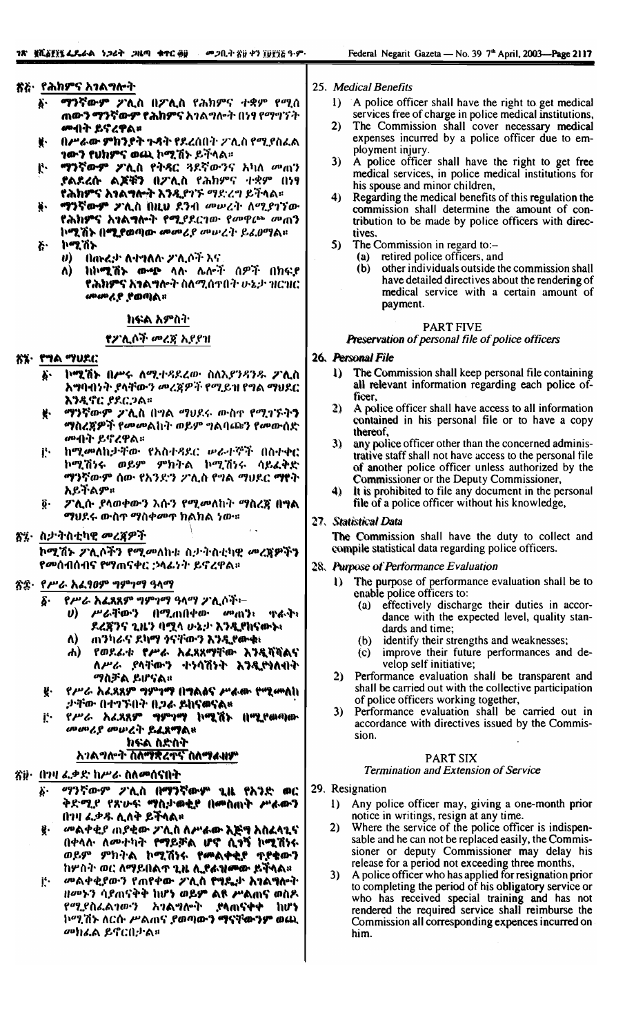#### ጽጅ· የሕክምና አ*ገ*ልግሎት

- ማንኛውም ፖሊስ በፖሊስ የሕክምና ተቋም የሚሰ Ä. ጠ**ውን ማንኛውም የሕክምና** አገልግሎት በነፃ የማግኘት **መብት ይኖረዋል**።
- በሥራው ምክንያት ጉዳት የደረሰበት ፖሊስ የሚያስፈል **ነውን የሀክምና ወጪ ኮሚሽኑ ይ**ችላል።
- ማንኛውም **ፖ**ሊስ የትዳር ጓደኛውንና አካለ መጠን Ŀ. **ያልደረሱ ልጆቹን በፖሊስ የ**ሕክምና ተቋም በ<del>ነ</del>ፃ **የሕክምና እኀልግሎት እንዲየኀ**ኙ ማድረግ ይችላል።
- ማንኛውም **ፖሊስ በዚህ ደንብ መሥረት ለ**ሚያገኘው የሕክምና አኅልግሎት የሚያደርገው የመዋራ መጠን ኮሚሽኑ በሚያወጣው መመሪያ መሠረት ይፈፀማል።
- ኮሚሽኑ ጅ.
	- $\boldsymbol{\theta}$ በሐኑሬታ ለተግለሉ ፖሊሶች እና
	- ከኮሚሽኑ ውጭ ላሉ ሌሎች ሰዎች በክፍያ  $\Lambda$ የሕክምና አንልግሎት ስለሚሰጥበት ሁኔታ ዝርዝር ። ለጦራያ የወጣል።

#### ክፍል አምስት

#### የፖሊሶች መረጃ አደደዝ

- ሸ፮· የግል ማህደር
	- ኮሚሽኑ በሥሩ ለሚተዳደረው ስለአያንዳንዱ ፖሊስ y. አግባብነት ያላቸውን መረጃዎች የሚይዝ የግል ማህደር እንዲኖር ያደርጋል።
	- ማንኛውም ፖሊስ በግል ማህደሩ ውስኖ የሚገኙትን Ķ. **ማስረጀዎች የመመልከት ወይም ግልባ**ጩን የመውሰድ *ሙ*ብት ይኖረዋል።
	- j. ከሚመለከታቸው የአስተዳደር ሠራተኞች በስተቀር ኮሚሽነሩ ወይም ምክትል ኮሚሽነሩ ሳይፈቅድ ማንኛውም ሰው የአንድን ፖሊስ የግል ማህደር ማየት አይትልም፡
	- ፖሊሱ ያላወቀውን እሱን የሚመለከት ማስረጀ በ<del>ግ</del>ል ğ. *ማህ*ደሩ ውስዋ ማስቀመዋ ክልክል ነው።
- ጽ፤፦ ስታትስቲካዊ መረጃዎች

ኮሚሽኑ ፖሊሶችን የሚመለከቱ ስታትስቲካዊ መረጀዎችን የመሰብሰብና የማጠናቀር ;ንላፊነት ይኖረዋል።

## ጽጅ· <u>የሥራ አፈፃፀም</u> ግምገማ ዓላማ

- *የሥራ አፌ*ጸጸም *ግምገማ ዓላማ ፓ*ሊሶች፦  $\delta$ .
	- $\boldsymbol{\theta}$ *ሥራ*ቸውን በሚጠበቀው *መ*ጠን፡ ጥልጥ፣ ዶሬጀንና ጊዜን ባሟላ ሁኔታ እንዲየከናውኑ፣
	- ጠንካራና ደካማ ንናቸውን እንዲየሙቁ፥ Λ)
	- ሐ) የወደፊቱ የሥራ አፈጸጸማቸው እንዲሻሻልና ለሥራ ያሳቸውን ተነሳሽነት እንዲዮነለብት <mark>ማስቻል ይሆናል</mark>።
- የሥራ አፈጸጸም ግምገማ በግልፅና ሥራው የሚመለከ g. ታቸው በተገኙበት ቢጋራ ይከናወናል።
- *የሥራ አሬጸጸም ግምገማ* ኮሚሽኑ በሚደመጣው Ë. መመሪያ መሠረት ይፈጸማል።

# ክፍል ስድስት

## <u>አገልግሎት ስለማቋረጥና ስለማፈዛም</u>

#### ጽ፱· በገዛ ፌቃድ ከሥራ ስለመሰናበት

- *ማንኛውም ፖሊስ በ*ማንኛውም ጊዜ የአንድ ወር δ. ቅድሚያ የጽሁፍ ማስታወቂያ በመስጠት ሥራውን በገዛ ፌቃዱ ሊለቅ ይችላል።
- *መ*ልቀቂያ ጠያቂው ፖሊስ ስሥ<del>ራው እጅግ</del> አስፈሳጌና ğ. በቀላሉ ለመተካት የማይቻል ሆኖ ሲፃኝ ኮሚሽነሩ ወይም ምክትል ኮሚሽነሩ የ<del>መልቀቂያ</del> ቁያቁውን ከሦስት ወር ስማይበልጥ ጊዜ ሲያፉዝሙው ይችላል።
- መልቀቂያውን የጠየቀው ፖሲስ የማዴታ እንልግሎት Ë. *ዝመኑን ሳያ*ጠናቅቅ ከሆ<mark>ን ወይም ልዩ ሥል</mark>ጠና ወስዶ<br>*የሚያ*ስፈል*ገውን - አገ*ልግሎት ፣ ያሳጠናቀቀ - ከሆነ ኮሚሽኑ ለርሱ ሥልጠና ያወጣውን ማናቸውንም ወጪ መክፌል ይኖርበታል።
- 25. Medical Benefits
	- A police officer shall have the right to get medical  $1)$ services free of charge in police medical institutions,
	- The Commission shall cover necessary medical 2) expenses incurred by a police officer due to employment injury.
	- $3)$ A police officer shall have the right to get free medical services, in police medical institutions for his spouse and minor children,
	- 4) Regarding the medical benefits of this regulation the commission shall determine the amount of contribution to be made by police officers with directives.
	- 5) The Commission in regard to:
		- retired police officers, and  $(a)$
		- $(b)$ other individuals outside the commission shall have detailed directives about the rendering of medical service with a certain amount of payment.

#### **PART FIVE**

## Preservation of personal file of police officers

#### 26. Personal File

- The Commission shall keep personal file containing  $\bf{D}$ all relevant information regarding each police officer.
- A police officer shall have access to all information  $2)$ contained in his personal file or to have a copy thereof,
- $3)$ any police officer other than the concerned administrative staff shall not have access to the personal file of another police officer unless authorized by the Commissioner or the Deputy Commissioner,
- 4) It is prohibited to file any document in the personal file of a police officer without his knowledge,

#### 27. Statistical Data

The Commission shall have the duty to collect and compile statistical data regarding police officers.

#### 28. Purpose of Performance Evaluation

- The purpose of performance evaluation shall be to  $\bf{D}$ enable police officers to:
	- effectively discharge their duties in accor- $(a)$ dance with the expected level, quality standards and time;
	- identify their strengths and weaknesses;  $(b)$
	- improve their future performances and de- $(c)$ velop self initiative;
- $2)$ Performance evaluation shall be transparent and shall be carried out with the collective participation of police officers working together,
- Performance evaluation shall be carried out in  $3)$ accordance with directives issued by the Commission.

#### PART SIX

#### Termination and Extension of Service

#### 29. Resignation

- Any police officer may, giving a one-month prior  $\bf{D}$ notice in writings, resign at any time.
- Where the service of the police officer is indispen-2) sable and he can not be replaced easily, the Commissioner or deputy Commissioner may delay his release for a period not exceeding three months,
- A police officer who has applied for resignation prior to completing the period of his obligatory service or who has received special training and has not rendered the required service shall reimburse the Commission all corresponding expences incurred on him.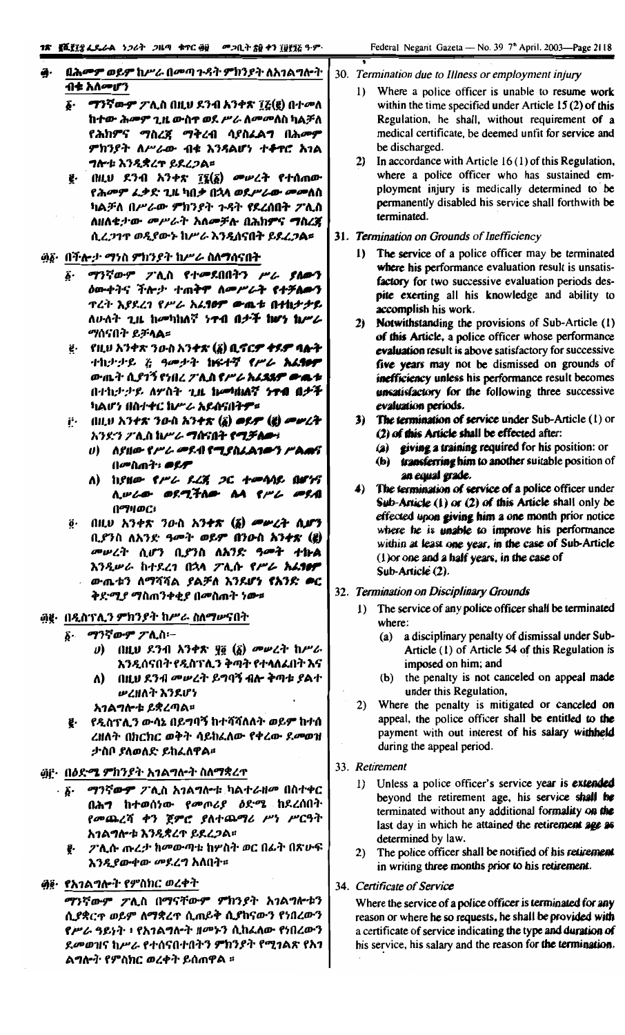- በሕመም ወይም ከሥራ በመጣ ጉዳት ምክንያት ለአገልግሎት ብቱ አለመሆን
	- *ማንኛውም ፖሊ*ስ በዚህ ደንብ አንቀጽ ፲፭(፪) በተመለ б. ከተው ሕመም ጊዜ ውስተ ወደ ሥራ ለመመለስ ካልቻለ የሕክምና ማስረጀ ማቅረብ ሳያስፈልግ በሕመም ምክንያት ለሥራው ብቁ እንዳልሆነ ተቆዋሮ አገል  $7$ r+ $k$   $\lambda$  $3$   $2$  $5$  $2$  $2$  $3$  $5$  $3$  $5$  $2$  $3$  $5$  $5$
	- ፪· በዚህ ደንብ አንቀጽ ፲፯(፩) መሥረት የተሰጠው የሕመም ፌቃድ ጊዜ ካበቃ በኋላ ወደሥራው መመለስ ካልቻለ በሥራው ምክንያት ጉዳት የደረሰበት ፖሊስ ለዘለቂታው መሥራት አለመቻሉ በሕክምና ግስረጀ ሲረጋገዋ ወዲየውኑ ከሥራ እንዷሰናበት ይደረጋል።

#### <u>፴፩· በችሎታ ማነስ ምክንያት ከሥራ ስለማሰናበት</u>

- ፩· ማንኛውም ፖሊስ የተመደበበትን ሥራ ያለውን *b*ውቀትና ችሎታ ተጠቅም ለ*መሥራት የተቻልው*ን <u>ጥረት እያደረገ የሥራ አሬ**10ም ው**ጫቱ በተከታታይ</u> ለውለት ጊዜ ከመካከለኛ ንተብ በቃች ከሆን ከሥራ *ማ*ሰናበት ይቻ**ላል**።
- ij - የዚህ አንቀጽ ንውስ አን**ቀጽ (፩) ቢኖር***ም ቀዩም* **ባሎት** ተኪታታይ ζ ዓመታት **ከፍተኛ የሥራ አሬ<del>ፃፀም</del>** ውጤት ሲያገኝ የነበረ ፖሊስ የሥራ አራዴጹም ውጫቱ በተኪታታይ ለሦስት ጊዜ ከመከነልኛ ነዋብ በታች ካልሆን በስተቀር ከሥራ አይሰናበት<del>ዎ</del>፡፡
- ij = በዚህ አንቀጽ ንውስ አንቀጽ (፩) *ወይም (፪) መሠረት* አንደ፡ን ፖሊስ ከሥራ **ግ**ስናበት **የሚቻለው**፣
	- $\theta$ ) ASHO-PPL OSA PTSALATOS PARS በ*መ*ስጠት፥ *ወይም*
	- $A)$  hence the sig at two st are ሊሠራው ወደሚችለው ልላ የሥራ መደብ በማዛወር፣
- በዚህ አንቀጽ ንውስ አን**ተጽ (፩) መሥሪት ሲሆን** ö. ቢያንስ ለአንድ ዓመት ወይም በንውስ አንቀጽ (፪) *መሠረት* ሲሆን ቢያንስ ለአንድ ዓ**መት ተኩል** እንዲሠራ ከተደረገ በኋላ ፖሊሱ የሥራ አሬ<del>10</del>ዎ ውጤቱን ለማሻሻል ያልቻለ እንደሆነ የአንድ ወር ቅደ፡*ሚያ ማ*ስጠንቀቂያ በመስጠት ነው።

#### ፴፪· በዲስፕሊን ምክንያት ከሥራ ስለማሥናበት

- *δ· ማንኛውም ፓ*ሊስ፦
	- U) በዚህ ደንብ አንቀጽ ያ፩ (፩) መሠረት ከሥራ እንዲሰናበት የዲስፕሊን ቅጣት የተሳለፌበት እና
	- በዚህ ደንብ መሠረት ይግባኝ ብሎ ቅጣቱ ያልተ Λ) ሥረዘለት እንደሆነ

አገልግሎቱ ይቋረጣል።

የዲስፕሊን ውሳኔ በይግባኝ ከተሻሻለለት ወይም ከተሰ ë. ረዘለት በክርክር ወቅት ሳይከፈለው የቀረው ደመወዝ ታስቦ ያለወለድ ይከፈለዋል፡፡

#### ፴፫· በዕድ**ሜ ምክን**ያት አገልግለ•ት ስለማቋረተ

- *ማንኛውም ፖ*ሊስ አ*ገ*ልግሎቱ ካልተራዘመ በስተቀር . S. በሕግ ከተወሰነው የመጦሪያ ዕድሜ ከደረሰበት የመጨረሻ ቀን ጀምሮ ያለተጨማሪ ሥነ ሥርዓት አገልግሎቱ እንዲቋረጥ ይደረጋል።
	- e- *ጋ* ሊሱ ጡረ*ታ* ከመውጣቱ ከሦስት ወር በፊት በጽሁፍ እንዲያውቀው መደረግ አለበት።

## <u>ậĝ· የአገልግሎት የምስክር ወረቀት</u>

ማንኛውም ፖሊስ በማናቸውም ምክንያት አገልግሎቱን ሲያቋርጥ ወይም ለማቋረጥ ሲጠይቅ ሲያከናውን የነበረውን የሥራ ዓይነት ፥ የአገልግሎት ዘመኑን ሲከፈለው የነበረውን ደመወዝና ከሥራ የተሰናበተበትን ምክንያት የሚገልጽ የአገ ልግሎት የምስክር ወረቀት ይሰጠዋል ፡፡

#### 30. Termination due to Illness or employment injury

- 1) Where a police officer is unable to resume work within the time specified under Article 15 (2) of this Regulation, he shall, without requirement of a medical certificate, be deemed unfit for service and be discharged.
- 2) In accordance with Article 16(1) of this Regulation, where a police officer who has sustained employment injury is medically determined to be permanently disabled his service shall forthwith be terminated.

#### 31. Termination on Grounds of Inefficiency

- 1) The service of a police officer may be terminated where his performance evaluation result is unsatisfactory for two successive evaluation periods despite exerting all his knowledge and ability to accomplish his work.
- 2) Notwithstanding the provisions of Sub-Article (1) of this Article, a police officer whose performance evaluation result is above satisfactory for successive five years may not be dismissed on grounds of inefficiency unless his performance result becomes unsatisfactory for the following three successive evaluation periods.
- 3) The termination of service under Sub-Article (1) or (2) of this Article shall be effected after:
	- (a) giving a training required for his position: or
	- (b) transferring him to another suitable position of an equal grade.
- 4) The termination of service of a police officer under Sub-Article  $(1)$  or  $(2)$  of this Article shall only be effected upon giving him a one month prior notice where he is unable to improve his performance within at least one year, in the case of Sub-Article  $(1)$  or one and a half years, in the case of Sub-Article (2).
- 32. Termination on Disciplinary Grounds
	- 1) The service of any police officer shall be terminated where:
		- (a) a disciplinary penalty of dismissal under Sub-Article (1) of Article 54 of this Regulation is imposed on him; and
		- (b) the penalty is not canceled on appeal made under this Regulation,
	- 2) Where the penalty is mitigated or canceled on appeal, the police officer shall be entitled to the payment with out interest of his salary withheld during the appeal period.
- 33. Retirement
	- 1) Unless a police officer's service year is extended beyond the retirement age, his service shall be terminated without any additional formality on the last day in which he attained the retirement age as determined by law.
	- 2) The police officer shall be notified of his retirement in writing three months prior to his retirement.

#### 34. Certificate of Service

Where the service of a police officer is terminated for any reason or where he so requests, he shall be provided with a certificate of service indicating the type and duration of his service, his salary and the reason for the termination.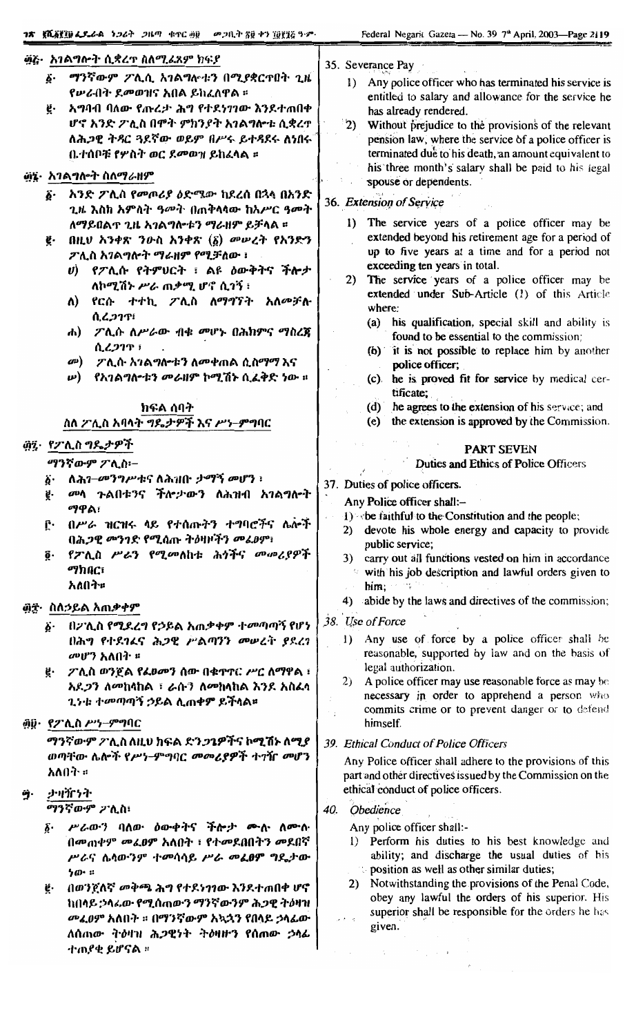|     | ንጽ   ጀሺ <u>ÄኛIN</u> ፌደፌል ነጋሪት ጋዜጣ ቁተር ፴፱   መጋቢት ጽ፱ ቀን ፲፱፻፺፭ ዓ.ም-                      | Federal Negarit Gazeta - No. 39 7 <sup>th</sup> April, 2003-Page 2119                                                       |
|-----|---------------------------------------------------------------------------------------|-----------------------------------------------------------------------------------------------------------------------------|
|     | <u>፴፭·  አገልግሎት ሲ</u> ቋረዋ ስለሚፈጸም ክፍያ                                                   | 35. Severance Pay                                                                                                           |
|     | ማንኛውም ፖሊሲ አገልግሎቱን በሚያቋርጥበት ጊዜ<br>ö.<br>የሥራበት ደመወዝና አበል ይከፈለዋል ፡፡                      | Any police officer who has terminated his service is<br>$\mathbf{D}$<br>entitled to salary and allowance for the service he |
|     | አግባብ ባለው የጡረታ ሕግ የተደነገገው እንደተጠበቀ<br>ë.                                                | has already rendered.                                                                                                       |
|     | ሆኖ አንድ ፖሊስ በሞተ ምክንያት አገልግሎቱ ሲቋረጥ                                                      | 2)<br>Without prejudice to the provisions of the relevant                                                                   |
|     | ለሕ <i>ጋ</i> ዊ ትዳር ጓደኛው ወይም በሥሩ ይተዳደሩ ለነበሩ <sup>"</sup>                                | pension law, where the service of a police officer is                                                                       |
|     | ቤተሰቦቹ የሦስት ወር ደመወዝ ይከፈላል ፡፡                                                           | terminated due to his death, an amount equivalent to                                                                        |
|     | ፴፯· አገልግሎት ስለማራዘም                                                                     | his three month's salary shall be paid to his legal<br>spouse or dependents.                                                |
|     | አንድ ፖሊስ የመጦሪያ ዕድሜው ከደረሰ በኋላ በአንድ<br>ő٠                                                |                                                                                                                             |
|     | ጊዜ እስከ አምስት ዓ <sup>መት</sup> በጠቅላላው ከአሥር ዓመት                                           | 36. Extension of Service                                                                                                    |
|     | ለማይበልጥ ጊዜ አገልግሎቱን ማራዘም ይቻላል ፡፡                                                        | The service years of a police officer may be<br>$\bf{I}$                                                                    |
|     | በዚህ አንቀጽ ንውስ አንቀጽ $(\underline{\delta})$ መሠረት የአንድን<br>ğ.                             | extended beyond his retirement age for a period of                                                                          |
|     | ፖሊስ አገልግሎት ማራዘም የሚቻለው ፣                                                               | up to five years at a time and for a period not                                                                             |
|     | <i>ሀ</i> ) የፖሊሱ የትምሀርት ፣ ልዩ ዕውቅትና ችሎታ                                                 | exceeding ten years in total.                                                                                               |
|     | ለኮሚሽኑ ሥራ ጠቃሚ ሆኖ ሲገኝ ፡                                                                 | The service years of a police officer may be<br>2)<br>extended under Sub-Article (1) of this Article                        |
|     | የርሱ ተተኪ <i>ፖ</i> ሊስ ለ <i>ማግኘት</i><br>አለመቻሉ<br>ለ)<br>ሲረጋገጥ፣                            | where:<br>(a) his qualification, special skill and ability is                                                               |
|     | ሐ)    ፖሊሱ  ለሥራው  ብቁ  ምሆኑ  በሕክምና  ማስረጀ                                                 | found to be essential to the commission;                                                                                    |
|     | ሲረጋገጥ ፣                                                                               | (b) it is not possible to replace him by another                                                                            |
|     | $\omega$<br><i>ፖ</i> ሊሱ አ <i>ገ</i> ልግሎቱን ለመቀጠል ሲስማማ እና                                | police officer;                                                                                                             |
|     | የአገልግለ•ቱን መራዘም ኮሚሽኑ ሲፈቅድ ነው ፡፡<br>$\boldsymbol{\nu}$ )                                | he is proved fit for service by medical cer-<br>(c)                                                                         |
|     |                                                                                       | tificate;                                                                                                                   |
|     | ክፍል ሰባት<br>ስለ ፖሊስ አባላት ግዴታዎች እና ሥነ-ምግባር                                               | he agrees to the extension of his service; and<br>(d)<br>the extension is approved by the Commission.<br>(e)                |
|     |                                                                                       |                                                                                                                             |
|     | ፴፯· የፖሊስ ግዴታዎች                                                                        | <b>PART SEVEN</b>                                                                                                           |
|     | <i>ማንኛውም ፖ</i> ሊስ፦                                                                    | <b>Duties and Ethics of Police Officers</b>                                                                                 |
|     | ለሕገ- <i>መንግሥቱና</i> ለሕዝቡ <i>ታማኝ መ</i> ሆን ፡<br>Ä٠                                       | 37. Duties of police officers.                                                                                              |
|     | መላ ጉልበቱንና ችሎታውን ለሕዝብ አገልግሎት<br>ğ.                                                     | Any Police officer shall:-                                                                                                  |
|     | ማዋል፣                                                                                  | 1) she faithful to the Constitution and the people;                                                                         |
|     | በሥራ ዝርዝሩ ላይ የተሰጡትን ተግባሮችና ሌሎች<br>ſ٠<br>በሕጋዊ መንገድ የሚሰጡ ትዕዛዞችን መፈፀም፣                    | 2) devote his whole energy and capacity to provide                                                                          |
|     | የፖሊስ ሥራን የሚመለከቱ ሕጎችና መመሪያዎች<br>ğ٠                                                     | public service;                                                                                                             |
|     | ማክበር፣                                                                                 | carry out all functions vested on him in accordance<br>3)<br>with his job description and lawful orders given to            |
|     | አለበት።                                                                                 | him;                                                                                                                        |
|     |                                                                                       | abide by the laws and directives of the commission;<br>4)                                                                   |
| @±∙ | ስለኃይል አጠቃቀም                                                                           |                                                                                                                             |
|     | በፖሊስ የሚደረግ የኃይል አጠቃቀም ተመጣጣኝ የሆነ<br>Ö٠                                                 | 38. Use of Force                                                                                                            |
|     | በሕግ የተደገሬና ሕጋዊ ሥልጣንን መሠረት ያደረገ                                                        | Any use of force by a police officer shall be<br>$\bf{D}$<br>reasonable, supported by law and on the basis of               |
|     | መሆን አለበት ፡፡                                                                           | legal authorization.                                                                                                        |
|     | ፖሊስ ወንጀል የፌፀመን ሰው በቁጥኖር ሥር ሰማዋል ፣<br>ğ.<br>አደ <i>ጋ</i> ን ለመከላከል ፣ ራሱን ለመከላከል እንደ አስፈላ | A police officer may use reasonable force as may be<br>2)                                                                   |
|     | <i>ጊነቱ ተመጣጣኝ ኃ</i> ይል ሊጠቀም ይችላል፡፡                                                     | necessary in order to apprehend a person who                                                                                |
|     |                                                                                       | commits crime or to prevent danger or to defend                                                                             |
|     | @@· የፖሊስ ሥነ-ምግባር                                                                      | himself.                                                                                                                    |
|     | <i>ማን</i> ኛውም ፖሊስ ለዚህ ክፍል ድን <i>ጋጌዎች</i> ና ኮሚሽኑ ለሚያ                                   | 39. Ethical Conduct of Police Officers                                                                                      |
|     | ወጣቸው ሌሎች የሥነ-ምግባር መመሪያዎች ተገዥ መሆን                                                      | Any Police officer shall adhere to the provisions of this                                                                   |
|     | አለበት ።                                                                                | part and other directives issued by the Commission on the                                                                   |
| ŷ.  | ታዛዥነት                                                                                 | ethical conduct of police officers.                                                                                         |
|     | ማንኛውም ፖሊስ፡                                                                            | Obedience<br>40.                                                                                                            |
|     | ሥራውን ባለው ዕውቀትና ችሎታ ሙሉ ለሙሉ<br>$\delta$ .                                               | Any police officer shall:-                                                                                                  |
|     | በመጠቀም መፈፀም አለበት ፣ የተመደበበትን መደበኛ                                                       | 1) Perform his duties to his best knowledge and                                                                             |
|     | ሥራና ሴላውንም ተመሳሳይ ሥራ መፈፀም ግዴታው                                                          | ability; and discharge the usual duties of his                                                                              |
|     | ንው ።                                                                                  | position as well as other similar duties;                                                                                   |
|     | በወንጀለኛ መቅጫ ሕግ የተደነገገው እንደተጠበቀ ሆኖ<br>ÿ.                                                | 2) Notwithstanding the provisions of the Penal Code,                                                                        |
|     | ከበላይ :ኃላፊው የሚሰጠውን ማንኛውንም ሕጋዊ ትዕዛዝ                                                     | obey any lawful the orders of his superior. His<br>superior shall be responsible for the orders be has                      |

*መልፀም* አለበት ፡፡ በማንኛውም አኳኋን የበላይ ኃላፊው | 

superior shall be responsible for the orders he has<br>given.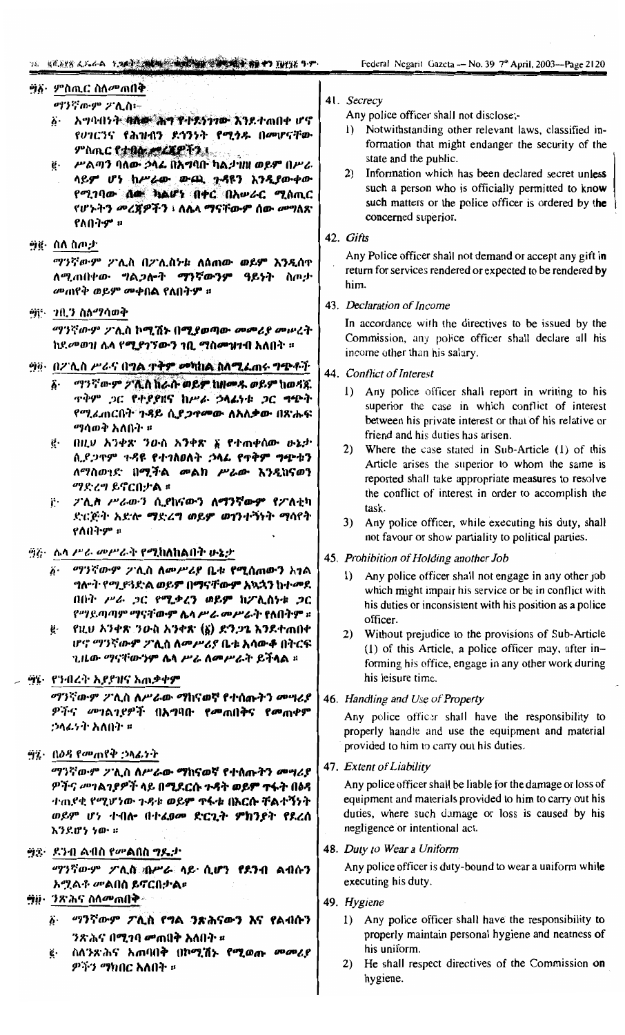# ፵፩· ምስጢር ስለ*ሙ*ጠበቅ

- *ማንኛውም ፖ*ሊስ፡-፩· አማባብንት <del>ባለው ሕግ የተደንጋገው እ</del>ንደተጠበቀ ሆኖ የሀገርንና የሕዝብን ደኅንነት የሚነዱ በመሆናቸው ምስጢር የታፀረ *መረጃ*ዎችን ነ
- g ሥልጣን ባለው ኃላፊ በአግባቡ ካልታነነነ ወይም በሥራ ላይም ሆነ ከሥራው ውጪ ጉዳዩን እንዲያውቀው የሚገባው ሰው ክልሆነ በቀር በአሥራር ሚሰጢር የሆኑትን መረጀዎችን ፣ ለሴላ ማናቸውም ሰው መግለጽ የለበትም ።
- <u>ማጀት ስለ ስጦታ</u>

*ማንኛውም ፖሊ*ስ በፖሊስነቱ ለሰሐው ወይም እንዲሰዋ ለሚጠበቀው ግልጋሎት ማንኛውንም ዓይነት ስጦታ መጠየቅ ወይም መቀበል የለበት**ም** ።

#### ፵፫ - 7በ.ን ስለማሳወቅ

"ፃንኛውም ፖሊስ ኮሚሽኑ በ**ሚያወጣው** *መመሪያ መ***ሥ**ረት ከደመወዝ ሴላ የ**ሚያገኘውን ኀቢ ማስምዝነብ አለበት** ።

## <u> ግጅ - በ2 ሊስ ሥራና በግል ተቅም መካከል ስለሚፈ</u>ጠሩ <del>ግጭቶ</del>ች

- *ማንኛውም ፖሊስ* ክራሱ ወይ**ም ከዘመ**ዱ ወይም ከወዳጁ ô٠ ዋቅም ጋር የተያያዘና ከሥራ ኃላፊነቱ ጋር ግጭት የሚፌጠርበት ጉዳይ ሲ*ያጋ*ዋ**መው ለአለቃው** በጽሑፍ *ማ*ሳወቅ አለበት ፡
- ፪· በዚህ አንቀጽ ንውስ አንቀጽ ፩ የተጠቀሰው ሁኔታ ሲደጋጥም ጉዳዩ የተገለፀለት ኃላፊ የጥቅም ግጭቱን ለማስወገድ በሚችል መልክ ሥራው እንዲከናወን ማድረግ ይኖርበታል ።
- ij· 2'ሊስ *ሥራውን* ሲያከናውን ለማንኛውም የ**2'ለቲ**ካ ድርጅት አድሎ ማድረግ ወይም ወገንተኝነት ማሳየት የለበትም ።

## ፵፭፣ ሴላ ሥራ መሥራት የ**ሚከለከልበት ሁኔ**ታ

- ፩· ማንኛውም ፖሊስ ለመሥሪያ ቤቱ **የሚሰጠውን** አ<del>ገ</del>ል ግሎት የሚያጓደኑል ወይም በማናቸውም አኳኋን ከተመደ በበት ሥራ ጋር የሚቃረን ወይም ከፖሊስነቱ ጋር የማይጣጣም ማናቸው**ም ሌላ ሥ***ራ መሥራ***ት የለበትም** ፡፡
- የዚህ አንቀጽ ንውስ አንቀጽ (፩) ድንጋጌ እንደተጠበቀ Ų. ሆኖ ማንኛውም ፖሊስ ለመሥሪያ ቤቱ አሳውቆ በትርፍ ጊዜው ማናቸውንም ሴላ ሥራ ለመሥራት ይችላል ፡፡

#### ፵፮· የንብረት እያያዝና አጠቃቀ**ም**

*ማንኛውም ፖ*ሊስ ለሥራው ማከናወኛ የተሰጡትን *መግሪ*ያ ዎችና መገልገደዎች በአግባቡ የመጠበቅና የመጠቀም :ኃሳፊንት አለበት ፡፡

#### ፵፯· በዕዳ የመጠየቅ ;ንሳፊነት

*ማንኛውም ፖ*ሊስ ለሥራው ማከናወኛ የተሰጡትን *መግሪ*ያ ዎችና መገልገያዎች ላይ በ**ሚደርሱ ጉዳት ወይም ተፋ**ት በዕዳ ተጠደቂ የሚሆነው ጉዳቱ ወይም ዋፋቱ በእርሱ ቸልተኝነት ወይም ሆነ ተብሎ በተፈወመ ድርጊት ምክንያት የደረሰ እንደሆነ ነው ።

#### ፵፰· ደንብ ልብስ የመልበስ **ግዴ**ታ

ማንኛውም ፖሊስ ብሥራ ላይ ሲሆን የደንብ ልብሱን አ*ሚ*ልቶ መልበስ ይኖርበታል።

## *יַיַּהָּיָם (אֲמָל יְ*אֶל *יָיִיִּ*

- ፩· ማንኛውም ፖሊስ የግል ንጽሕናውን እና የልብሱን ንጽሕና በሚገባ **መ**ጠበቅ አለበት ፡፡
- ስለንጽሕና አጠባበቅ በኮሚሽኑ የሚወጡ መመሪያ ë٠ ዎችን ማክበር አለበት ፡፡

#### 41. Secrecy

Any police officer shall not disclose;-

- 1) Notwithstanding other relevant laws, classified information that might endanger the security of the state and the public.
- 2) Information which has been declared secret unless such a person who is officially permitted to know such matters or the police officer is ordered by the concerned superior.

#### 42. Gifts

Any Police officer shall not demand or accept any gift in return for services rendered or expected to be rendered by him

## 43. Declaration of Income

In accordance with the directives to be issued by the Commission, any police officer shall declare all his income other than his salary.

## 44. Conflict of Interest

- 1) Any police officer shall report in writing to his superior the case in which conflict of interest between his private interest or that of his relative or friend and his duties has arisen.
- 2) Where the case stated in Sub-Article (1) of this Article arises the superior to whom the same is reported shall take appropriate measures to resolve the conflict of interest in order to accomplish the task.
- 3) Any police officer, while executing his duty, shall not favour or show partiality to political parties.

#### 45. Prohibition of Holding another Job

- Any police officer shall not engage in any other job  $\mathbf{D}$ which might impair his service or be in conflict with his duties or inconsistent with his position as a police officer.
- $2)$ Without prejudice to the provisions of Sub-Article (1) of this Article, a police officer may, after informing his office, engage in any other work during his leisure time.

## 46. Handling and Use of Property

Any police officer shall have the responsibility to properly handle and use the equipment and material provided to him to carry out his duties.

#### 47. Extent of Liability

Any police officer shall be liable for the damage or loss of equipment and materials provided to him to carry out his duties, where such damage or loss is caused by his negligence or intentional act.

#### 48. Duty to Wear a Uniform

Any police officer is duty-bound to wear a uniform while executing his duty.

## 49. Hygiene

- 1) Any police officer shall have the responsibility to properly maintain personal hygiene and neatness of his uniform.
- 2) He shall respect directives of the Commission on hygiene.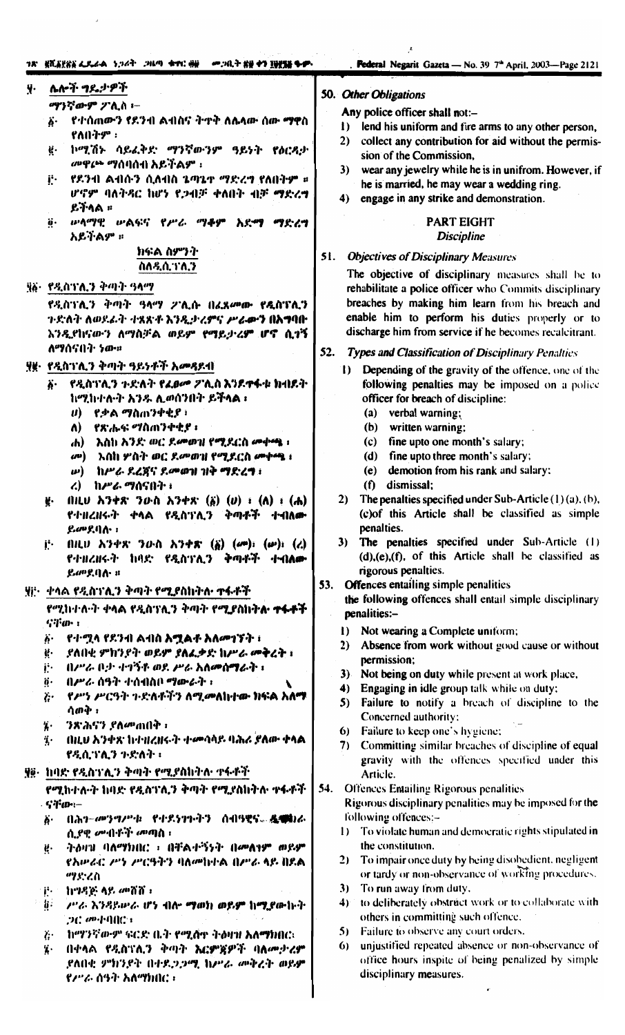## 78° KRAKKA 4.844 5.269° 2009 490 AU = 20.3 KB 49 XBKB 4.8%

Federal Negarit Gazeta - No. 39 7<sup>th</sup> April, 2003-Page 2121

#### ሌሎች ግዴታዎች y.

ማንኛውም ፖሊስ ፦

- .የተሰጠውን የደንብ ልብስና ትዋቅ ለሴላው ሰው **ማዋ**ስ አ. የለበትም :
- ኮሚሽኑ ሳይፈቅድ ማንኛውንም ዓይነት የዕርዳታ μ. መዋጮ ማሰባሰብ አይችልም ፡
- . የደንብ ልብሱን ሲለብስ ኔጣኔተ *ማድረግ* የለበትም ። ji. ሆኖም ባለትዳር ከሆነ የጋብቻ ቀለበት ብቻ ማድረግ ይችላል ።
- ሥላማዊ ሥልፍና የሥራ ማቆም አደማ ማድረግ ö. አይችልም ።

### ክናል ስምንት ስለዲሲ:ነሴ:ን

### ፶፩- የዲስፕሊን ቅጣት ዓላማ

የዲስገንሊን ቅጣት ዓላማ 2ንሊሱ በፊጸመው የዲስገንሊን ጉድለት ለወደፊት ተጻጽቶ እንዲታሪምና *ሥራ*ውን በአግባበ እንዲየከናውን ለማስቻል ወይም የማይታሪም ሆኖ ሲተኝ ለማሰናበት ነው።

## ያ፪• የዲስገሊን ቅጣት ዓይነቶች አመዳደብ

- የዲስገሊን ጉድለት የፈፀ*ው ፖ*ሊስ እንደቀፋቱ ክብደት Ä. ከሚከተሉት አንዱ ሊወሰንበት ይችላል ፣
	- $\boldsymbol{\theta}$  የ.ቃል ማስጠንቀቂያ ፣
	- የጽሑፍ ማስጠንቀቂያ ፡ V)
	- አስከ አንድ ወር ደመወዝ የሚደርስ መቀጫ ፣ 46) –
	- *o*®) እስከ ሦስት ወር ደ*ው* ወዝ የሚደርስ መቀጫ ፣
	- ω) ከሥራ ደረጃና ደመወዝ ዝቅ ማድረግ ፣
	- ረ) ከሥራ ማሰናበት ፣
- ¥·  $(1)$   $(1)$   $(1)$   $(2)$   $(2)$   $(3)$   $(3)$   $(4)$   $(5)$   $(6)$   $(7)$   $(8)$   $(1)$   $(1)$ የተዘረዘሩት ቀላል የዲስፕሊን ቅጣቶች ተብለው ይመደባሉ :
- $(III, I)$   $\lambda$ ')+x' '} $O \cdot h$   $\lambda$ ')+x'  $(\xi)$   $(\omega)$ :  $(\omega)$ :  $(\epsilon)$ j∙. የተዘረዘሩት ከባድ የዲስፕሊን ቅጣቶች ተብለው ይመደብሉ ።

#### ሃը፦ ቀላል የዲስገንሊን ቅጣት የሚያስከትሉ ተፋቶች

የሚከተሉት ቀላል የዲስፕሊን ቅጣት የሚያስከትሉ ተፋቶች  $G3$   $^{\circ}$   $\sigma$   $\cdot$   $\cdot$ 

- የተሟላ የደንብ ልብስ አሟልቶ አለ*መገኘት* ፣ ぶ.
- \_ያለበቂ ምክንያት ወይም ያለፈቃድ ከሥራ <del>መቅ</del>ረት ፣ ψ.
- ij- በሥራ ቦታ ተግኝቶ ወደ ሥራ አለመሰ**ማ**ራት ፣
- በሥራ ሰዓት ተሰብስቦ ማውራት ፣  $\ddot{\mathbf{0}}$ .
- የሥነ ሥርዓት ጉድለቶችን ለሚ**መለከተው ክፍል አለ**ማ  $\ddot{c}$ ሳወቅ ፡
- ንጽሕኖን ያለመጠበቅ ፡ ï.
- በዚህ እንቀጽ ከተዝረዘሩት ተመሳሳይ ባሕሪ ያለው ቀላል i. የዲሲገንሲን ጉድለት ፡

## ያ፼፦ ከባድ የዲስገንሊን ቅጣት የሚያስኩትሉ ተፋቶች

የሚከተሉት ከባድ የዲስፕሌን ቅጣት የሚደስከትሉ ተፋቶች - Sifari-

- $\ddot{\theta}$ .  $(1.357 - 69999999)$  = Cd S 599-9-3 = 0.419 QG = & Chi 6. ሲደዊ ምብቶች መጣስ ፣
- ትዕዛዝ ባለማክበር ፣ በቸልተኝንት በመለገም ወይም Ķ. የአሥራር ሥነ ሥርዓትን ባለመከተል በሥራ ላይ በደል ማድረስ
- $P<sub>1</sub>$ ከግዳጅ ላይ መሸሸ።
- 扩。 ሥራ እንዳይውራ ሆነ ብሎ ማወክ ወይም ከሚያውኩት  $20.094900$
- $\mathbf{z}$ . - ከማንኛውም ፍርድ ቤት የሚሸተ ትዕዛዝ አለ**ማ**ክበር፡
- በቀላል የዲስፕሊን ቅጣት እርምጀዎች ባለሙታሪም  $\ddot{h}$ . ደለበቂ ምክንደት በተደጋጋሚ ከሥራ መቅረት ወይም የሥራ ሰዓት አለማክበር ፣

#### 50. Other Obligations

Any police officer shall not:-

- 1) lend his uniform and fire arms to any other person,
- $2)$ collect any contribution for aid without the permission of the Commission.
- 3) wear any jewelry while he is in unifrom. However, if he is married, he may wear a wedding ring.
- 4) engage in any strike and demonstration.

#### **PART EIGHT Discipline**

## 51. Objectives of Disciplinary Measures

The objective of disciplinary measures shall be to rehabilitate a police officer who Commits disciplinary breaches by making him learn from his breach and enable him to perform his duties properly or to discharge him from service if he becomes recalcitrant.

#### 52. **Types and Classification of Disciplinary Penalties**

- 1) Depending of the gravity of the offence, one of the following penalties may be imposed on a police officer for breach of discipline:
	- $(a)$  verbal warning;
	- (b) written warning:
	- (c) fine upto one month's salary;
	- (d) fine upto three month's salary;
	- (e) demotion from his rank and salary:
	- (f) dismissal;
- 2) The penalties specified under Sub-Article  $(1)(a)$ . (b), (c) of this Article shall be classified as simple penalties.
- 3) The penalties specified under Sub-Article (1)  $(d),(e),(f)$ , of this Article shall be classified as rigorous penalties.
- 53. Offences entailing simple penalities
	- the following offences shall entail simple disciplinary penalities:-
	- Not wearing a Complete uniform;  $\mathbf{D}$
	- $2)$ Absence from work without good cause or without nermission:
	- $3<sub>h</sub>$ Not being on duty while present at work place,
	- 4) Engaging in idle group talk while on duty;
	- $5)$ Failure to notify a breach of discipline to the Concerned authority:
	- Failure to keep one's hygiene: 6)
	- 7) Committing similar breaches of discipline of equal gravity with the offences specified under this Article.
- 54. **Offences Entailing Rigorous penalities**

Rigorous disciplinary penalities may be imposed for the following offences:-

- 1) To violate human and democratic rights stipulated in the constitution.
- 2) To impair once duty by being disobedient, negligent or tardy or non-observance of working procedures.
- 3) To run away from duty,
- 4) to deliberately obstract work or to collaborate with others in committing such offence.
- 5) Failure to observe any court orders.
- 6) unjustified repeated absence or non-observance of office hours inspite of being penalized by simple disciplinary measures.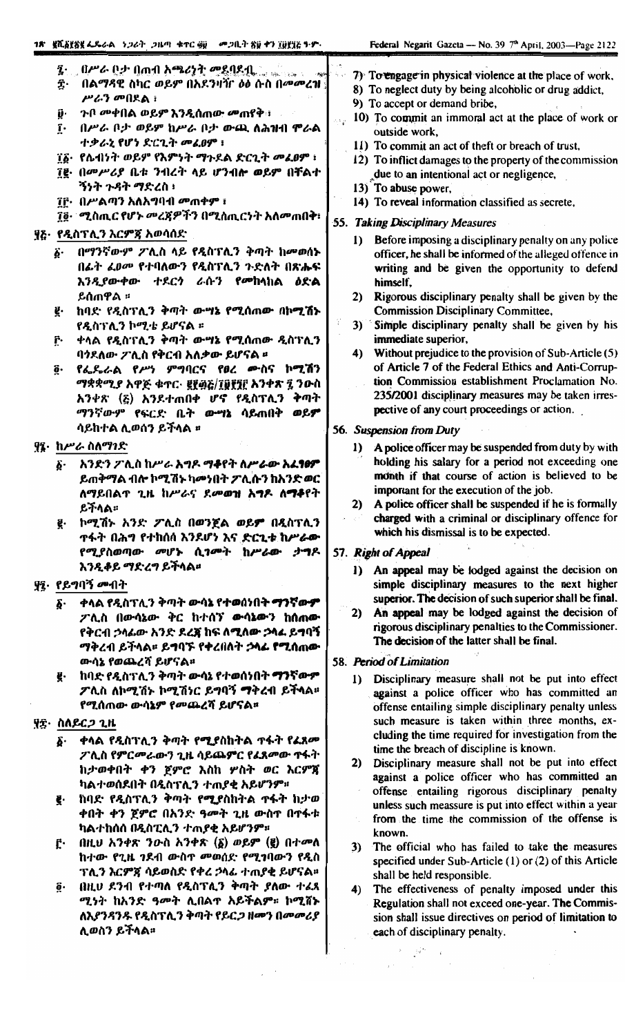- በሥራ ቦታ በጠብ አሜሪነት ሚደባዶቢ į.
- ĝ. \_በልማዳዊ ስካር ወይም በአደንዛሽr *ዕ*ፅ ሱስ በ*መሙረ*ዝ | ሥራን መበደል ፣
- ጉቦ **መቀበል ወይም እንዲሰ**ጠው **መ**ጠየቅ፣ Ũ۰
- ĩ. በሥራ ቦታ ወይም ከሥራ ቦታ ውጪ ለሕዝብ ሞራል ተቃራኒ የሆነ ደ፡ርጊት መፈፀም ፣
- ፲፩· የሴብነት ወይም የእምነት ማጉደል ድርጊት መሬፀም ፣
- ፲፱· በመሥሪያ ቤቱ ንብረት ላይ ሆንብሎ ወይም በቸልተ ኝንት *ጉዳት ማድረ*ስ ፡
- ĩቮ· በሥልጣን አለአግባብ መጠቀም ፣
- ፲፬· *ሚ*ስጢር የሆኑ መረጃዎችን በሚስጢርንት አለመጠበቅ፥

#### ፶ሬ· የዲስፕሊን እርምጃ አወሳሰድ

- በማንኛውም ፖሊስ ላይ የዲስፕሊን ቅጣት ከ**መወሰ**ኑ  $\ddot{\bm{\delta}}$ . በፊት *ፈፀ*መ የተባለውን የዲስፕሊን ጉድለት በጽሑፍ እንዲያውቀው ተደርን ራሱን የመከላከል *ዕ*ድል ይሰጠዋል ፡፡
- ë ከባድ የዲስፕሊን ቅጣት ው**ሣኔ የሚሰ**ጠው በኮ**ሚሽ**ኑ የዲስፕሊን ኮሚቴ ይሆናል ፡፡
- ቀላል የዲስፕሊን ቅጣት ውሣኔ የሚሰጠው ዲስፕሊን ŕ٠. ባንደለው ፖሊስ የቅርብ አለቃው ይሆናል ፡፡
- የፌዴራል የሥነ ም**ግባርና የ**ፀረ ሙስና ኮ**ሚ**ሽን õ. *ማቋቋሚያ አዋጅ ቁ*ተር· ፪፻፴፩/፲፱፻፺፫ አንቀጽ ፯ ንውስ አንቀጽ (፩) አንደተጠበቀ ሆኖ የዲስፕሊን ቅጣት ማንኛውም የፍርድ ቤት ው**ሣኔ** ሳይጠበቅ ወይ**ም** ሳይከተል ሊወሰን ይችላል ፡፡

#### ያ፤ ከሥራ ስለማገድ

- ፩· አንድን ፖሊስ ከሥራ አግዶ ማቆየት ለሥራው አፈፃፀም ይጠቅማል ብሎ ኮሚሽኑ ካመንበት ፖሊሱን ከአንድ ወር ለማይበልጥ ጊዜ ከሥራና ደ**መወዝ አግዶ ለማቆ**የት ይችላል።
- ፪· ኮሚሽኑ አንድ ፖሊስ በወንጀል ወይም በዲስፕሊን ተፋት በሕግ የተከሰሰ እንደሆነ እና ድርጊቱ ከሥራ**ው** የሚያስወጣው መሆኑ ሲገመት ከሥራው ታግዶ እንዲቆይ ማድረግ ይችላል።

## ያ፤ የይግባኝ መብት

- ፩· ቀላል የዲስፕሊን ቅጣት ውሳኔ የተወሰነበት ማንኛውም ፖሊስ በውሳኔው ቅር ከተሰኘ ውሳኔውን ከሰጠው የቅርብ ኃላፊው አንድ ደረጃ ከፍ ለሚለው ኃላፊ ይግባኝ ማቅረብ ይችላል። ይግባኙ የቀረበለት ኃላፊ የሚሰጠው ውሳኔ የወጨረሻ ይሆናል።
- ፪· ከባድ የዲስፕሊን ቅጣት ውሳኔ የተወሰነበት **ማንኛውም** ፖሊስ ለኮሚሽኑ ኮሚሽነር ይግባኝ **ማ**ቅረብ ይችላል። የሚሰጠው ውሳኔም የመጨረሻ ይሆናል።

## ያ፰· ስለይርጋ ጊዜ

- ቀላል የዲስፕሊን ቅጣት የሚያስከትል ተፋት የፈጸሙ б. ፖሊስ የምርመራውን ጊዜ ሳይጨምር የፊጸመው ጥፋት ከታወቀበት ቀን ጀምሮ እስከ ሦስት ወር እርምጃ ካልተወሰደበት በዲስፕሊን ተጠያቂ አይሆንም።
- ከባድ የዲስፕሊን ቅጣት የሚያስከትል ተፋት ከታወ ቀበት ቀን ጀምሮ በአንድ ዓመት ጊዜ ውስጥ በጥፋቱ ካልተከሰሰ በዲስፒሊን ተጠያቂ አይሆንም።
- በዚህ አንቀጽ ንውስ አንቀጽ  $(\xi)$  ወይም  $(\xi)$  በተመለ ŕ. ከተው የጊዜ ንደብ ውስጥ መወሰድ የሚገባውን የዲስ ፕሊን እርምጃ ሳይወስድ የቀረ ኃላፊ ተጠያቂ ይሆናል።
- በዚሀ ደንብ የተጣለ የዲስፕሊን ቅጣት ያለው ተፈጸ  $\ddot{\mathbf{g}}$ . ሚነት ከአንድ ዓመት ሊበልተ አይችልም። ኮሚሸኑ ለእያንዳንዱ የዲስፕሊን ቅጣት የይር*ጋ* ዘመን በመመሪያ ሊወስን ይችላል፡፡
- 7) To engage in physical violence at the place of work,
- 8) To neglect duty by being alcoholic or drug addict,
- 9) To accept or demand bribe,
- 10) To commit an immoral act at the place of work or outside work,
	- 11) To commit an act of theft or breach of trust.
	- 12) To inflict damages to the property of the commission due to an intentional act or negligence,
	- 13) To abuse power,
	- 14) To reveal information classified as secrete,

#### 55. Taking Disciplinary Measures

- Before imposing a disciplinary penalty on any police  $\bf{D}$ officer, he shall be informed of the alleged offence in writing and be given the opportunity to defend himself.
- 2) Rigorous disciplinary penalty shall be given by the **Commission Disciplinary Committee.**
- 3) Simple disciplinary penalty shall be given by his immediate superior,
- 4) Without prejudice to the provision of Sub-Article (5) of Article 7 of the Federal Ethics and Anti-Corruption Commission establishment Proclamation No. 235/2001 disciplinary measures may be taken irrespective of any court proceedings or action.
- 56. Suspension from Duty
	- A police officer may be suspended from duty by with  $\bf{I}$ holding his salary for a period not exceeding one month if that course of action is believed to be important for the execution of the job.
	- 2) A police officer shall be suspended if he is formally charged with a criminal or disciplinary offence for which his dismissal is to be expected.

#### 57. Right of Appeal

- 1) An appeal may be lodged against the decision on simple disciplinary measures to the next higher superior. The decision of such superior shall be final.
- 2) An appeal may be lodged against the decision of rigorous disciplinary penalties to the Commissioner. The decision of the latter shall be final.
- 58. Period of Limitation
	- Disciplinary measure shall not be put into effect  $\mathbf{I}$ against a police officer who has committed an offense entailing simple disciplinary penalty unless such measure is taken within three months, excluding the time required for investigation from the time the breach of discipline is known.
	- 2) Disciplinary measure shall not be put into effect against a police officer who has committed an offense entailing rigorous disciplinary penalty unless such meassure is put into effect within a year from the time the commission of the offense is known.
	- 3) The official who has failed to take the measures specified under Sub-Article (1) or (2) of this Article shall be held responsible.
	- $4)$ The effectiveness of penalty imposed under this Regulation shall not exceed one-year. The Commission shall issue directives on period of limitation to each of disciplinary penalty.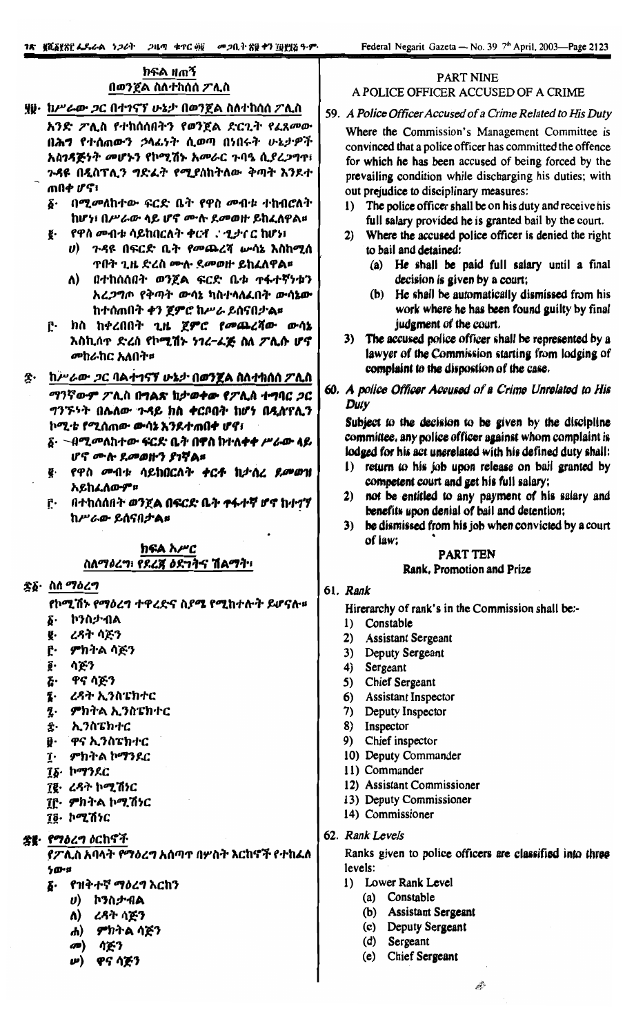## ክፍል ዘጠኝ በወንጀል ስለተከሰሰ ፖሊስ

ያ፱· ከሥራው *ጋ*ር በተገናኘ ሁኔታ በወንጀል ስለተከሰሰ ፖሊስ

- አንድ ፖሊስ የተከሰሰበትን የወንጀል ድርጊት የፈጸመው በሕግ የተሰጠውን ኃላፊነት ሲወጣ በነበሩት ሁኔታዎች አስገዳጅነት መሆኑን የኮሚሽኑ አመራር ጉባዔ ሲያረጋግጥ ጉዳዩ በዲስፕሊን ግድፌት የሚያስከትለው ቅጣት እንደተ ጠበቀ ሆኖ፣
	- δ· በሚመለከተው ፍርድ ቤት የዋስ መብቱ ተከብሮለት ከሆነ፣ በሥራው ላይ ሆኖ ሙሉ ደመወዙ ይከፈለዋል።
	- የዋስ መብቱ ሳይከበርለት ቀርቶ ደሚታሰር ከሆነ፤
		- *ሀ*) ጉዳዩ በፍርድ ቤት የመጨረሻ ሡሳኔ እስከሚሰ **ጥበት ጊዜ ድረስ ሙሉ ደመወዙ ይከፈለዋል፡፡**
		- ለ) በተከሰሰበት ወንጀል ፍርድ ቤቱ ተፋተኛነቱን አረ*ጋግ*ጦ የቅጣት ውሳኔ ካስተላለፈበት ውሳኔው ከተሰጠበት ቀን ጀምሮ ከሥራ ይሰናበታል።
	- ը. ከስ ከቀረበበት ጊዜ ጀምሮ የመጨረሻው ውሳኔ እስኪሰዋ ድረስ የኮሚሽኑ ነገረ–ፈጅ ስለ ፖሊሱ ሆኖ መከራከር አለበት።
- ከሥራው *ጋ*ር <u>ባልተገናኘ ሁኔታ በወንጀል ስለተከሰሰ ፖሊስ</u> ድ• ማንኛውም ፖሊስ በግልጽ ከታወቀው የፖሊስ ተግባር ጋር ግንኙነት በሌለው ጉዳይ ክስ ቀርቦበት ከሆነ በዲስፕሊን
	- ኮሚቴ የሚሰጠው ውሳኔ እንደተጠበቀ ሆኖ፣
	- ፩· Nሚመለከተው ፍርድ ቤት በዋስ ከተለቀቀ ሥራው ላይ ሆኖ ሙሉ ደመወዙን ያገቸል፡፡
	- ፪· የዋስ *መ*ብቱ ሳይከበርለት **ቀ**ርቶ ከታሰረ *የ.መወ*ዝ አይከፈለውም።
	- ը· በተከሰሰበት ወንጀል በፍርድ ቤት ተፋተኛ ሆኖ ከተኅኘ ከሥራው ይሰናበታል።

## ክፍል አሥር ስለማዕረግ፣ የደረጃ ዕደግባኆ ሽልማት፣

## ድδ· ስለ ማዕረግ

- የኮሚሽኑ የማዕረግ ተዋረድና ስያሜ የሚከተሉት ይሆናሉ።
- ኮንስታብል δ.
- ረዳት ሳጅን ğ.
- Ĉ٠ ምክትል ሳጅን
- ሳጅን ô٠
- ሯ. ዋና ሳጅን
- Į. ረዳት ኢንስፔክተር
- L. ምክትል ኢንስፔክተር
- ፰· ኢንስፔክተር
- D. ዋና ኢንስፔክተር
- ፲· ምክትል ኮማንደር
- ፲፩· ኮማንደር
- ፲፪· ረዳተ ኮሚሽነር
- ፲፫· ምክትል ኮሚሽነር
- 70. ኮሚሽነር

<u>ቌ</u>៖ የማዕረግ ዕርከኖች

የፖሊስ አባላት የማዕረግ አሰጣተ በሦስት እርከኖች የተከፈለ ንው።

- የዝቅተኛ ማዕረግ እርከን ъ.
	- *ህ*) ኮንስ*ታ* ብል
	- ለ) ረዳት ሳጅን
	- ሐ) ምክትል ሳጅን
	- $\mathbf{C}$ ሳጅን
	- *ሥ*) ዋና ሳጅን

## **PART NINE** A POLICE OFFICER ACCUSED OF A CRIME

## 59. A Police Officer Accused of a Crime Related to His Duty

Where the Commission's Management Committee is convinced that a police officer has committed the offence for which he has been accused of being forced by the prevailing condition while discharging his duties; with out prejudice to disciplinary measures:

- 1) The police officer shall be on his duty and receive his full salary provided he is granted bail by the court.
- Where the accused police officer is denied the right  $2)$ to bail and detained:
	- (a) He shall be paid full salary until a final decision is given by a court;
	- (b) He shall be automatically dismissed from his work where he has been found guilty by final judgment of the court.
- 3) The accused police officer shall be represented by a lawyer of the Commission starting from lodging of complaint to the dispostion of the case.
- 60. A police Officer Accused of a Crime Unrelated to His **Duty**

Subject to the decision to be given by the discipline committee, any police officer against whom complaint is lodged for his act unerelated with his defined duty shall:

- 1) return to his job upon release on bail granted by competent court and get his full salary;
- 2) not be entitled to any payment of his salary and benefits upon denial of bail and detention:
- 3) be dismissed from his job when convicted by a court of law:

#### **PART TEN** Rank, Promotion and Prize

## 61. Rank

Hirerarchy of rank's in the Commission shall be:-

- 1) Constable
- 2) Assistant Sergeant
- 3) Deputy Sergeant
- 4) Sergeant
- $5)$ Chief Sergeant
- 6) Assistant Inspector
- 7) Deputy Inspector
- 8) Inspector
- 9) Chief inspector
- 10) Deputy Commander
- 11) Commander
- 12) Assistant Commissioner
- 13) Deputy Commissioner
- 14) Commissioner
- 62. Rank Levels

Ranks given to police officers are classified into three levels:

- 1) Lower Rank Level
	- (a) Constable
		- (b) Assistant Sergeant
		- (c) Deputy Sergeant
		- (d) Sergeant
		- (e) Chief Sergeant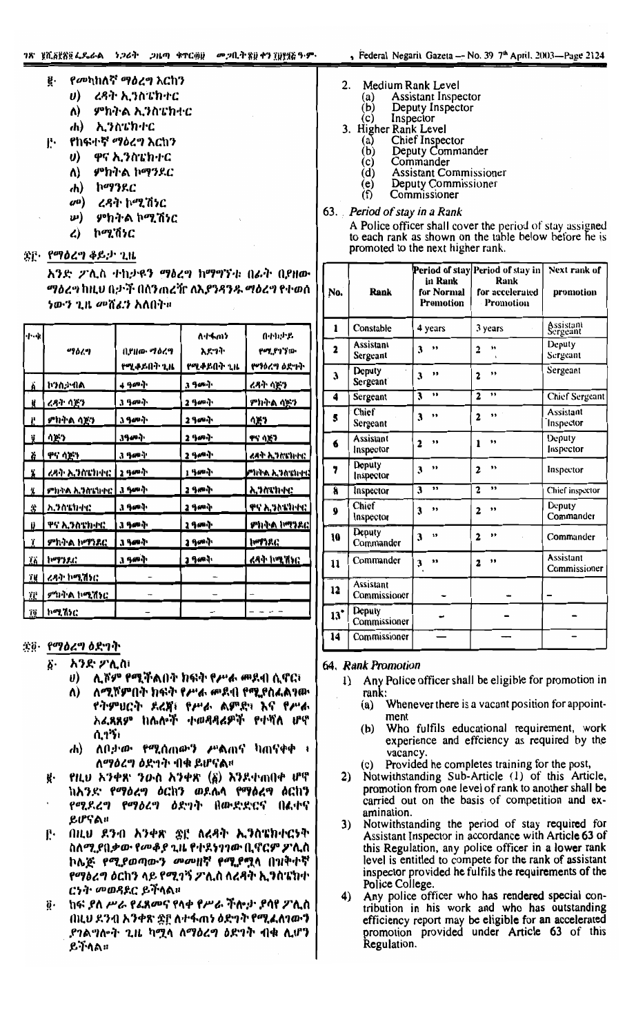*የመ*ካከለኛ *ማዕረግ* እርከን

ኢንስፔክተር

የከፍተኛ *ማዕረግ* እርከን

ኮማንደር

ኮሚሽነር

ዋና ኢንስፔክተር

ምክትል ኮማንደር

ረዳት ኮሚሽነር

ምክትል ኮሚሽነር

ረዳት ኢንስፔክተር

ምክትል ኢንስፔክተር

- 2. Medium Rank Level **Assistant Inspector** (a)
	- Deputy Inspector  $(b)$
	- Inspector (c)
- 3. Higher Rank Level
	- $(a)$ Chief Inspector
		- $(b)$ Deputy Commander
		- $(c)$ Commander
		- $(d)$ **Assistant Commissioner**
		- $\frac{e}{f}$ Deputy Commissioner Commissioner
- 63. Period of stay in a Rank
	- A Police officer shall cover the period of stay assigned to each rank as shown on the table below before he is promoted to the next higher rank.

| No.                     | Rank                      | in Rank<br>for Normal<br>Promotion | Period of stay Period of stay in<br>Rank<br>for accelerated<br>Promotion | <b>Next rank of</b><br>promotion |
|-------------------------|---------------------------|------------------------------------|--------------------------------------------------------------------------|----------------------------------|
| 1                       | Constable                 | 4 years                            | 3 years                                                                  | Assistant<br>Sergeant            |
| 2                       | Assistant<br>Sergeant     | ,,<br>3                            | ,,<br>$\overline{2}$<br>$\ddot{\phantom{0}}$                             | Deputy<br>Sergeant               |
| 3                       | Deputy<br>Sergeant        | ,,<br>3                            | ,,<br>$\overline{\mathbf{2}}$                                            | Sergeant                         |
| 4                       | Sergeant                  | ,,<br>$\overline{\mathbf{3}}$      | ,,<br>$\overline{\mathbf{c}}$                                            | <b>Chief Sergeant</b>            |
| \$                      | Chief<br>Sergeant         | ,,<br>3                            | ,,<br>$\overline{2}$                                                     | Assistant<br>Inspector           |
| 6                       | Assistant<br>Inspector    | ,,<br>$\overline{\mathbf{c}}$      | ,,<br>1                                                                  | Deputy<br>Inspector              |
| 7                       | Deputy<br>Inspector       | ,,<br>3                            | ,,<br>$\overline{2}$                                                     | Inspector                        |
| $\overline{\mathbf{a}}$ | Inspector                 | ,,<br>$\overline{\mathbf{3}}$      | ,<br>$\overline{2}$                                                      | Chief inspector                  |
| 9                       | Chief<br>Inspector        | ,,<br>3                            | ,,<br>2                                                                  | Deputy<br>Commander              |
| 10                      | Deputy<br>Commander       | ,,<br>3                            | ,,<br>$\overline{2}$                                                     | Commander                        |
| 11                      | Commander                 | 11<br>3                            | ,,<br>$\overline{\mathbf{c}}$                                            | Assistant<br>Commissioner        |
| 12                      | Assistant<br>Commissioner |                                    |                                                                          |                                  |
| $13^{\circ}$            | Deputy<br>Commissioner    |                                    |                                                                          |                                  |
| 14                      | Commissioner              |                                    |                                                                          |                                  |

#### 64. Rank Promotion

- Any Police officer shall be eligible for promotion in  $\mathbf{D}$ rank:
	- Whenever there is a vacant position for appoint- $(a)$ ment
	- $(b)$ Who fulfils educational requirement, work experience and effciency as required by the vacancy.
	- (c) Provided he completes training for the post,
- 2) Notwithstanding Sub-Article (1) of this Article, promotion from one level of rank to another shall be carried out on the basis of competition and examination.
- 3) Notwithstanding the period of stay required for Assistant Inspector in accordance with Article 63 of this Regulation, any police officer in a lower rank level is entitled to compete for the rank of assistant inspector provided he fulfils the requirements of the Police College.
- $4)$ Any police officer who has rendered special contribution in his work and who has outstanding efficiency report may be eligible for an accelerated promotion provided under Article 63 of this<br>Regulation.

ጅ፫· የማዕረግ ቆይታ ጊዜ

ÿ.

β.

 $\boldsymbol{\theta}$ 

 $\Lambda$ 

da)

 $\boldsymbol{\theta}$ 

Λ)

*ch)* 

 $\omega$ 

 $\boldsymbol{\omega}$ 

L)

አንድ ፖሊስ ተከታዩን ማዕረግ ከማግኘቱ በፊት በያዘው *ማዕረግ* ከዚህ በታች በሰንጠረቸ**r ለኢ***የንዳንዱ* **ማዕረግ የተወ**ሰ *ነውን ጊዜ መ*ሸፈን አለበት።

| ·/…4t | 496ረግ                       | በ,የዘው ማዕረግ<br>የሚቀይበት ጊዜ | ለተፋጠን<br>እደግት<br>የሚቀይበት ጊዜ | በተኪታይ<br>የሚያገኘው<br>የማዕረግ ዕድግት |
|-------|-----------------------------|-------------------------|----------------------------|-------------------------------|
| Ä     | <u> ኮንስታ ብል</u>             | 4 3au j                 | 3 ዓመት                      | ረጻት ሳጅን                       |
| N     | <u>ረዳት ሳጅን</u>              | 3 ዓ <i>መ</i> ቅ          | 2 ዓመት                      | <u>ምክትል ሳጅን</u>               |
| Ë     | <u>ምክትል ሳጅን</u>             | <u>3 ዓመት</u>            | 2 ዓመት                      | ሳጅን                           |
| ij    | ሳድን                         | <b>კዓ</b> መቅ            | 2 ዓመት                      | <u>ዋና ሳጅን</u>                 |
| Ğ     | ዋና ሳጅን                      | 3 ዓመት                   | 2 ዓመት                      | ረዳት ኢንስዩክተር                   |
| Ä     | <u>ረዳት ኢንስፔክተር  </u>        | 2 ዓመት                   | 1 ዓመት                      | ምክትል ኢንስፔክተር                  |
| ÿ,    | <u>ምክትል ኢንስፔክተር   3 ዓመት</u> |                         | 2 ዓመት                      | <u>አንስፔክተር</u>                |
| \$    | <u>አንስፔክተር</u>              | ያ የመት                   | 2 ዓመቅ                      | ዋና ኢንስፔክተር                    |
| į)    | <u>ዋና ኢንስፔክተር</u>           | 3 ዓመት                   | <u>2 ዓመት</u>               | <u>ምክትል ኮማን</u> ዶር            |
| ï     | ምክትል ኮማንደር                  | <u>კ ዓመቅ</u>            | <u>2 ዓመቅ</u>               | ከማንደር                         |
| ÏÄ    | <u>ኮማንዶር</u>                | 3 ዓመት                   | 2 9 cm d                   | <u>ረዳት ኮሚሽኑር</u>              |
| ïЦ    | <u>ረዳት ኮሚሽኑር</u>            |                         |                            |                               |
| ΪË.   | <u>ምክትል ኮሚሽነር</u>           |                         |                            |                               |
| ïë    | ኮሚሽንር                       |                         |                            |                               |

#### ጅ፬· የማዕረግ ዕድገት

δ.

- አንድ ፖሊስ፣
	- ሊሾም የሚችልበት ክፍት የሥራ መደብ ሲኖር፣  $\boldsymbol{\theta}$
	- ለሚሾምበት ክፍት የሥራ መደብ የሚያስፈልፃው Λ) የትምሀርት ደረጀ፤ የሥራ ልምድ፤ እና የሥራ አፈጻጸም ከሌሎች ተወዳዳሬዎች የተሻለ ሆኖ ሲገኝ፣
	- ሐ) ለበታው የሚሰጠውን ሥልጠና ካጠናቀቀ ፣ ለማዕረግ ዕድኀት ብቁ ይሆናል።
- የዚህ አንቀጽ ንውስ አንቀጽ (፩) እንደተጠበቀ ሆኖ ከአንድ የማዕረግ ዕርከን ወደሌላ የማዕረግ ዕርከን የሚደረግ የማዕረግ ዕድግት በውድድርና በልቀና ይሆናል።
- በዚህ ደንብ አንቀጽ ቋደ ለረዳት ኢንስፔክተርነት Ŀ. ስለሚያበቃው የመቆያ ጊዜ የተደነገገው ቢኖርም ዖንሲስ ኮሌጅ *የሚያወጣውን መመዘ*ኛ የሚያሟላ በዝቅተኛ የማዕረግ ዕርከን ላይ የሚገኝ **ፖሊስ ለረ**ዳት ኢንስፔክተ ርንት *መወጻ*ደር ይችላል።
- ከፍ ያለ ሥራ የፊጸመና የላቀ የሥራ ችሎታ ያሳየ ፖሊስ ö. በዚህ ደንብ አንቀጽ ቋ፫ ለተፋጠነ ዕድገት የሚፈለገውን *ያገ*ልግሎት ጊዜ ካሟላ ለማዕረግ ዕድገት ብቁ ሊሆን ይችላል።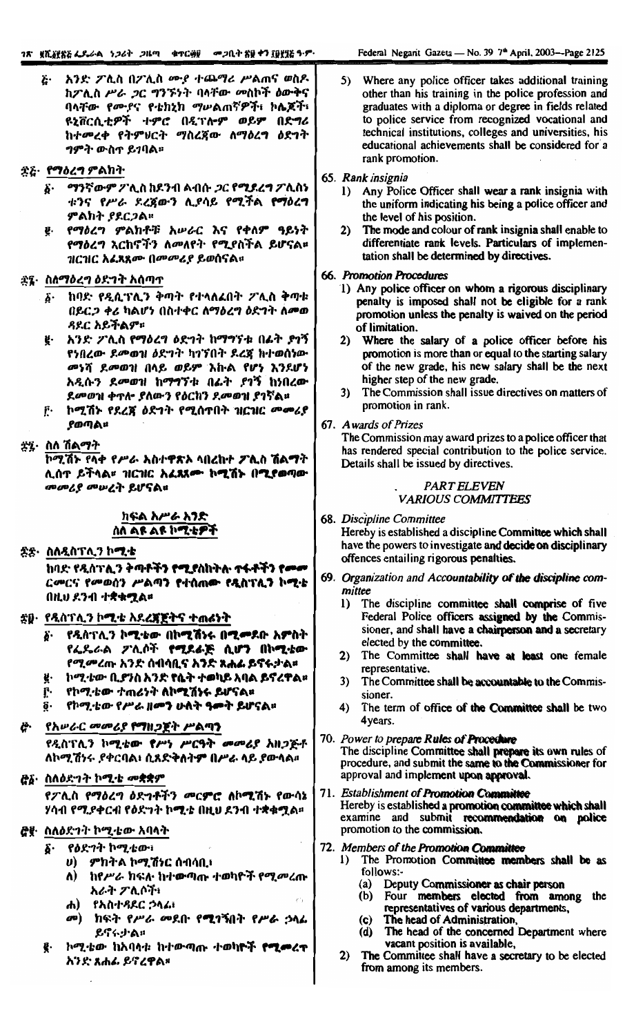| አንድ ፖሊስ በፖሊስ ሙያ ተጨማሪ ሥልጠና ወስዶ<br>Ë٠<br>ከፖሊስ ሥራ ጋር ግንኙነት ባላቸው መስኮች ዕውቅና<br>ባላቸው የሙያና የቴክኒክ ማሥልጠኛዎች፣ ኮሌጆች፣<br>ዩኒቨርሲቲዎች ተምሮ በዲፕሎም ወይም በድግሪ<br>ከተመረቀ የትምህርት ማስረጀው ለማዕረግ ዕድገት<br><i>ግምት ውስ</i> ጥ ይገባል።                                                                                                                                                                                     | 5) Where any police officer takes additional training<br>other than his training in the police profession and<br>graduates with a diploma or degree in fields related<br>to police service from recognized vocational and<br>technical institutions, colleges and universities, his<br>educational achievements shall be considered for a<br>rank promotion.                                                                                                                                                                                |
|---------------------------------------------------------------------------------------------------------------------------------------------------------------------------------------------------------------------------------------------------------------------------------------------------------------------------------------------------------------------------------------|---------------------------------------------------------------------------------------------------------------------------------------------------------------------------------------------------------------------------------------------------------------------------------------------------------------------------------------------------------------------------------------------------------------------------------------------------------------------------------------------------------------------------------------------|
| ድሬ· የማዕረግ ምልክት<br>፩· ማንኛውም ፖሊስ ከደንብ ልብሱ <i>ጋር የ<b>ሚደረግ</b> ፖ</i> ሊስነ<br>ቱንና የሥራ ደረጀውን ሊያሳይ የሚችል የማዕረግ<br>ምልክት ያደርጋል።<br>የማዕረግ ምልክቶቹ አሥራር እና የቀለም ዓይነት<br>ę.<br>የማዕረግ እርከኖችን ለመለየት የሚያስችል ይሆናል።<br>ገዘርገዘር አ <i>ሬጸጸሙ በመመሪያ ይ</i> ወሰናል።                                                                                                                                                  | 65. Rank insignia<br>1) Any Police Officer shall wear a rank insignia with<br>the uniform indicating his being a police officer and<br>the level of his position.<br>The mode and colour of rank insignia shall enable to<br>2)<br>differentiate rank levels. Particulars of implemen-<br>tation shall be determined by directives.                                                                                                                                                                                                         |
| ቋ፯፦ ስለማዕረግ ዕድግት አሰጣጥ<br>ከባድ የዲሲፕሊን ቅጣት የተላለፈበት ፖሊስ ቅጣቱ<br>b٠<br>በይር <i>ጋ ቀሪ</i> ካልሆነ በስተቀር ለማዕረግ ዕድገት ለ <i>መ</i> ወ<br><i>ዳ</i> ደር አይችልም።<br>አንድ ፖሊስ የማዕረግ ዕድገት ከማግኘቱ በፊት ያገኝ<br>ğ.<br>የነበረው ደመወዝ ዕድገት ካገኘበት ደረጃ ከተወሰነው<br>መነሻ ደመወዝ በላይ ወይም እኩል የሆነ እንደሆነ<br>አዲሱን ደመወዝ ከማግኘቱ በፊት ያገኝ ከነበረው<br>ደመወዝ ቀጥሎ ያለውን የዕርከን ደመወዝ ያገኛል።<br>ኮሚሽኑ የደረጃ ዕድኀት የሚሰጥበት ዝርዝር <i>መመሪ</i> ያ<br>ŕ٠<br>ያወጣል። | <b>66. Promotion Procedures</b><br>1) Any police officer on whom a rigorous disciplinary<br>penalty is imposed shall not be eligible for a rank<br>promotion unless the penalty is waived on the period<br>of limitation.<br>2) Where the salary of a police officer before his<br>promotion is more than or equal to the starting salary<br>of the new grade, his new salary shall be the next<br>higher step of the new grade.<br>The Commission shall issue directives on matters of<br>3)<br>promotion in rank.<br>67. Awards of Prizes |
| ኟ፯፦ ስለ ሽልማት<br>ኮሚሽኑ የላቀ የሥራ አስተዋጽኦ ላበረከተ ፖሊስ ሽልማት<br>ሊሰጥ ይችላል። ዝርዝር አፈጻጸሙ ኮሚሽኑ በሚያወጣው<br>መመሪያ መሠረት ይሆናል።<br>ከፍል አሥራ አንድ                                                                                                                                                                                                                                                               | The Commission may award prizes to a police officer that<br>has rendered special contribution to the police service.<br>Details shall be issued by directives.<br><b>PART ELEVEN</b><br><b>VARIOUS COMMITTEES</b><br>68. Discipline Committee                                                                                                                                                                                                                                                                                               |
| ስለ ልዩ ልዩ ኮሚቴዎች<br>ቋቋ· ስለዲስፕሊን ኮ <b>ሚ</b> ·ቴ<br>ከባድ የዲስፕሊን ቅጣቶችን የሚያስከትሉ ተፋቶችን የመመ<br>ርመርና የመወሰን ሥልጣን የተሰጠው የዲስፕሊን ኮሚቴ<br>በዚህ ደንብ ተቋቁሟል።                                                                                                                                                                                                                                               | Hereby is established a discipline Committee which shall<br>have the powers to investigate and decide on disciplinary<br>offences entailing rigorous penalties.<br>69. Organization and Accountability of the discipline com-<br>mittee<br>The discipline committee shall comprise of five<br>$\bf{I}$                                                                                                                                                                                                                                      |
| ቋ፱· የዲስፕሊን ኮሚቴ አደረጃጀትና ተጠራነት<br>δ· የዲስፕሊን ኮሚቴው በኮሚሽነሩ በሚመደቡ አምስት<br><i>የፌ</i> ዴራል ፖሊሶች <b>የሚደራጅ ሲሆን በኮሚቴው</b><br><i>የሚመረ</i> ጡ አንድ ሰብሳቢና አ <b>ንድ ጸሐፊ ይኖ</b> ሩታል፡፡<br><b>ከሚቴው ቢያንስ አንድ የሴት ተወካይ አባል ይኖረዋል።</b><br>ğ.<br><u>়ে      የኮሚቴው ተጠሪነት <mark>ስኮሚሽነሩ ይሆናል።</mark></u><br>የኮሚ·ቴው የሥራ ዘ <b>መን ሁለት ዓመት ይሆናል</b> ።<br>δ.<br>ረቅ·     የአሥራር መመሪያ የማዘጋጀት ሥልጣን                          | Federal Police officers assigned by the Commis-<br>sioner, and shall have a chairperson and a secretary<br>elected by the committee.<br>The Committee shall have at least one female<br>2)<br>representative.<br>The Committee shall be accountable to the Commis-<br>3)<br>sioner.<br>The term of office of the Committee shall be two<br>4)<br>4 years.                                                                                                                                                                                   |
| የዲስፕሊን ኮሚቴው የሥነ ሥርዓት መመሪያ አዘጋጅቶ<br>ለኮሚሽነሩ ያቀርባል፣ ሲጸድቅለትም በሥራ ላይ ያውላል።<br><u> ሮδ· ስለዕደግት ኮሚቴ መ</u> ቋቋም                                                                                                                                                                                                                                                                                 | 70. Power to prepare Rules of Procedure<br>The discipline Committee shall prepare its own rules of<br>procedure, and submit the same to the Commissioner for<br>approval and implement upon approval.                                                                                                                                                                                                                                                                                                                                       |
| የፖሊስ የማዕረግ ዕድኀቶችን መርምሮ ለኮሚሽኑ የውሳኔ<br>ሃሳብ የሚያቀርብ የዕድንት ኮሚቴ በዚህ ደንብ ተቋቁሟል።<br><i>ሮ</i> ፪· ስለ <i>ዕድኀት</i> ኮሚቴው አባላት<br>δ· የዕድገት ኮሚቴው፣                                                                                                                                                                                                                                                    | 71. Establishment of Promotion Committee<br>Hereby is established a promotion committee which shall<br>examine and submit recommendation on police<br>promotion to the commission.<br>72. Members of the Promotion Committee                                                                                                                                                                                                                                                                                                                |
| <i>ህ) - ምክትል ኮሚሽነ</i> ር ሰብሳቢ፣<br><i>ከየሥራ ከ</i> ፍሉ ከተውጣጡ ተወካዮች የሚ <i>መ</i> ረጡ<br>Λ)<br>አራት ፖሊሶች፣<br>$\mathcal{E}$<br>ሐ) የአስተዳደር ኃላፊ፣<br><i>መ</i> ) ከፍት የሥራ መደቡ የ <b>ሚ</b> ገኝበት የሥራ ኃላፊ<br>ይኖሩታል።                                                                                                                                                                                       | 1) The Promotion Committee members shall be as<br>follows:-<br>(a) Deputy Commissioner as chair person<br>(b) Four members elected from among the<br>representatives of various departments,<br>(c) The head of Administration.<br>(d) The head of the concerned Department where                                                                                                                                                                                                                                                           |
| ኮሚቴው ከአባላቱ ከተውጣጡ ተወካ <b>ዮች የሚመ</b> ረ <b>ጥ</b><br>ę.<br>አንድ ጸሐፊ ይኖረዋል።                                                                                                                                                                                                                                                                                                                 | vacant position is available,<br>2)<br>The Committee shall have a secretary to be elected<br>from among its members.                                                                                                                                                                                                                                                                                                                                                                                                                        |

T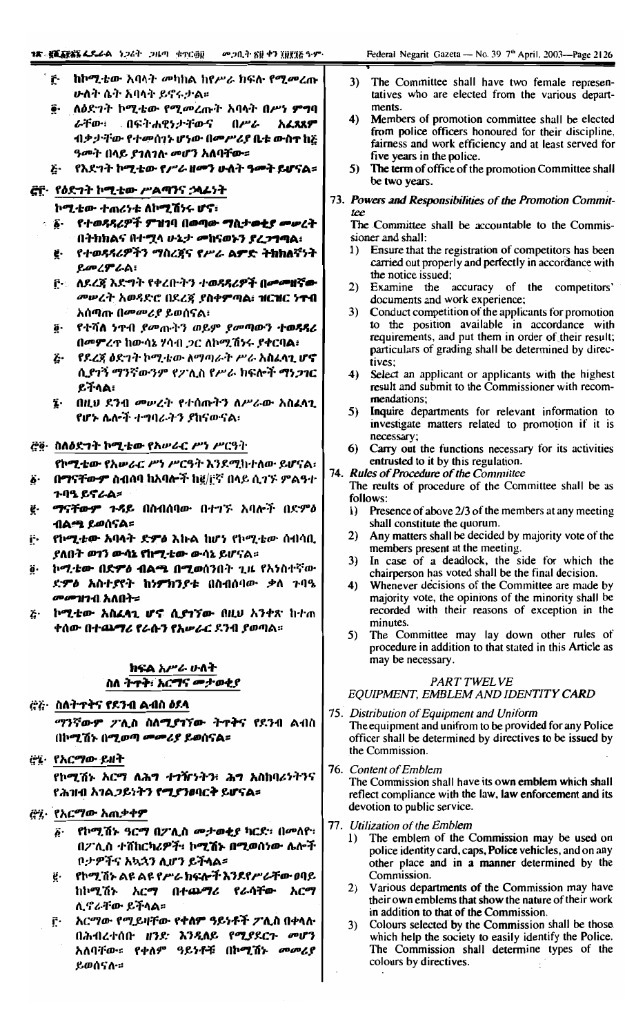- ከኮሚቴው አባላት መካከል ከየሥራ ክፍሉ የሚመረጡ ŕ٠ ሁለት ሴት አባላት ይኖሩታል።
- ē· ለዕድንት ኮሚቴው የሚመረጡት አባላት በሥነ **ምግ**ባ በፍትሐዊነታቸውና በሥራ ራቸው፡ አፈጻጸም ብቃታቸው የተመሰገኑ ሆነው በመሥሪያ ቤቱ ውስተ ከጅ ዓመት በላይ ያገለገለ መሆን አለባቸው።
- የእደግት ኮሚቴው የሥራ ዘመን ሁለት ዓመት ይሆናል፡፡ ۶.

## <u>ሮቮ</u>· የዕድገት ኮሚቴው ሥልጣንና ኃላፊነት

ኮሚቲው ተጠሪነቱ ለኮሚሽነሩ ሆኖ፥

- ∘ ፩∙ የተወዳዳሪዎች ምዝገባ በወጣው ማሲታወቂያ መሠረት በትክክልና በተሟላ ሁኔታ መከናወኑን ያረጋግጣል፡
	- ፪· የተወጻጻሪዎችን ማስረጀና የሥራ ል**ዎድ ትክክለ**ኛነት ይመረምራል፡
	- <u>៌្រៈ ለዶረጃ እድግት የቀረቡትን ተወዳዳሪዎች በመመዘኛው</u> *መሠረት አወጻ*ድሮ በደረጀ ያስቀ**ም**ጣል፥ ዝርዝር ነ<del>ተብ</del> አሰጣጡ በመመሪያ ይወሰናል፣
	- ፬· የተሻለ ነተብ *የመ*ጡትን ወይም *የመ*ጣውን ተወዳዳሪ በመምረዋ ከውሳኔ ሃሳብ *ጋ*ር ለኮሚሽንሩ ያቀርባል፥
	- ጅ· የደረጃ ዕድገት ኮሚቴው ለማጣራት ሥራ አ**ስፈላጊ ሆኖ** ሲያገኝ ማንኛውንም የፖሊስ የሥራ ክፍሎች ማነ*ጋገ*ር ይችላል፡
	- ፤ በዚህ ደንብ መሠረት የተሰጡትን ለሥራው አስፈላጊ የሆኑ ሴሎች ተግባራትን ያከናውናል፡

డ్జే§· ስለዕድንት ኮሚቴው የአሥራር ሥነ ሥርዓት

የኮሚቴው የአሥራር ሥነ ሥርዓት እንደሚከተለው ይሆናል፡

- በማናቸውም ስብሰባ ከአባሎች ከ፪/፫ኛ በላይ ሲገኙ ምልዓተ ጉባዔ ይኖራል**=**
- ማናቸውም ጉዳይ በስብሰባው በተገኙ አባሎች በድምዕ ë. ብል<del>ሚ</del> ይወሰናል፡
- የኮሚቴው አባላት ድምዕ እኩል ከሆነ የኮሚቴው ሰብሳቢ i٠. ያለበት ወ<mark>1ን ውሳኔ የከሚቲው</mark> ውሳኔ ይሆናል።
- ኮሚቴው በድምዕ ብልጫ በሚወሰንበት ጊዜ የአንስተኛው ደምዕ አስተያየት ከነምክንያቱ በስብሰባው ቃለ ጉባዔ *መመ*ገተብ አለበት፡፡
- ኮሚቴው አስፈላጊ ሆኖ ሲያገኘው በዚህ አንቀጽ ከተጠ Ë٠ ቀሰው በተ**ጨማሪ የራሱን የአ**ሥራር ደንብ ያወጣል፡፡

## ክፍል አሥራ ሁለት ስለ ትዋት፥ አርማና መታወቂያ

<u>ረ፡ረ፡- ስለትተቅና የደንብ ልብስ ዕደላ</u>

*ማንኛውም ፖሊስ ስለሚያገኘው ት*ዋቅና የደንብ ልብስ በኮሚሽኑ በሚወጣ *መሙሪያ ይ*ወሰናል፡፡

ረ% የአርማው ይዘት

የኮሚሽኑ አርማ ለሕግ ተግዥኑትን፣ ሕግ አስከባሪነትንና የሕዝብ አገል*ጋ*ይነትን የሚያንወባርት ይሆናል፡

- ሮ፡፡ የአርማው አጠቃቀም
	- ፩· የኮሚሽኑ ዓርማ በፖሊስ መታወቂያ ካርደ፡ በመለዮ፡ በፖሊስ ተሸከርካሪዎች፣ ኮሚሽኑ በሚወሰነው ሌሎች ቦታዎችና አኳኋን ሲሆን ይችላል።
	- የኮሚኺኑ ልዩ ልዩ የሥራ ክፍሎች እንደየሥራቸው ዐባይ ġ. ከኮሚሽኑ አርማ በተጨማሪ የራሳቸው አርማ ሊኖራቸው ይችላል።
	- አርማው የሚይዛቸው የቀለም ዓይነቶች ፖሊስ በቀላሉ ſ٠ በሕብረተሰቡ ዘንድ እንዲለይ የሚያደርጉ መሆን አለባቸው። የቀለም ዓይነቶቹ በኮሚሽኑ መመሪያ ይወሰናለ።
- The Committee shall have two female represen-3) tatives who are elected from the various departments.
- 4) Members of promotion committee shall be elected from police officers honoured for their discipline, fairness and work efficiency and at least served for five years in the police.
- 5) The term of office of the promotion Committee shall be two years.
- 73. Powers and Responsibilities of the Promotion Committee

The Committee shall be accountable to the Commissioner and shall:

- 1) Ensure that the registration of competitors has been carried out properly and perfectly in accordance with the notice issued;
- 2) Examine the accuracy of the competitors' documents and work experience;
- 3) Conduct competition of the applicants for promotion to the position available in accordance with requirements, and put them in order of their result; particulars of grading shall be determined by directives;
- 4) Select an applicant or applicants with the highest result and submit to the Commissioner with recommendations;
- 5) Inquire departments for relevant information to investigate matters related to promotion if it is necessary;
- 6) Carry out the functions necessary for its activities entrusted to it by this regulation.
- 74. Rules of Procedure of the Committee
	- The reults of procedure of the Committee shall be as follows:
		- 1) Presence of above 2/3 of the members at any meeting shall constitute the quorum.
		- Any matters shall be decided by majority vote of the  $2)$ members present at the meeting.
		- In case of a deadlock, the side for which the 3) chairperson has voted shall be the final decision.
	- 4) Whenever decisions of the Committee are made by majority vote, the opinions of the minority shall be recorded with their reasons of exception in the minutes.
	- The Committee may lay down other rules of 5) procedure in addition to that stated in this Article as may be necessary.

### PART TWELVE

EQUIPMENT, EMBLEM AND IDENTITY CARD

- 75. Distribution of Equipment and Uniform The equipment and unifrom to be provided for any Police officer shall be determined by directives to be issued by the Commission.
- 76. Content of Emblem The Commission shall have its own emblem which shall reflect compliance with the law, law enforcement and its devotion to public service.
- 77. Utilization of the Emblem
	- $\mathbf{D}$ The emblem of the Commission may be used on police identity card, caps, Police vehicles, and on any other place and in a manner determined by the Commission.
	- 2) Various departments of the Commission may have their own emblems that show the nature of their work in addition to that of the Commission.
	- Colours selected by the Commission shall be those 3) which help the society to easily identify the Police. The Commission shall determine types of the colours by directives.